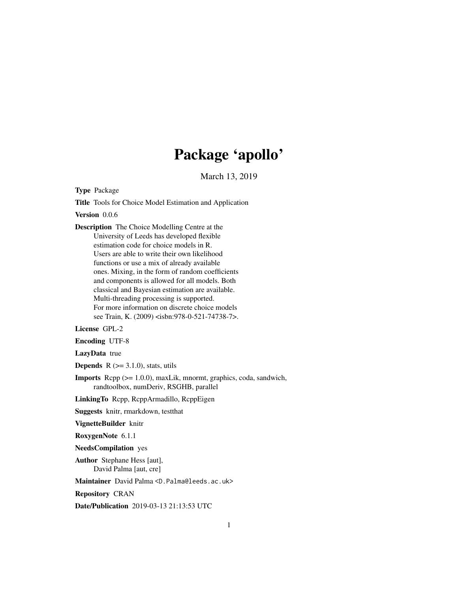# Package 'apollo'

March 13, 2019

<span id="page-0-0"></span>Type Package

Title Tools for Choice Model Estimation and Application

Version 0.0.6

Description The Choice Modelling Centre at the University of Leeds has developed flexible estimation code for choice models in R. Users are able to write their own likelihood functions or use a mix of already available ones. Mixing, in the form of random coefficients and components is allowed for all models. Both classical and Bayesian estimation are available. Multi-threading processing is supported. For more information on discrete choice models see Train, K. (2009) <isbn:978-0-521-74738-7>.

License GPL-2

Encoding UTF-8

LazyData true

**Depends**  $R$  ( $>=$  3.1.0), stats, utils

Imports Rcpp (>= 1.0.0), maxLik, mnormt, graphics, coda, sandwich, randtoolbox, numDeriv, RSGHB, parallel

LinkingTo Rcpp, RcppArmadillo, RcppEigen

Suggests knitr, rmarkdown, testthat

VignetteBuilder knitr

RoxygenNote 6.1.1

NeedsCompilation yes

Author Stephane Hess [aut], David Palma [aut, cre]

Maintainer David Palma <D.Palma@leeds.ac.uk>

Repository CRAN

Date/Publication 2019-03-13 21:13:53 UTC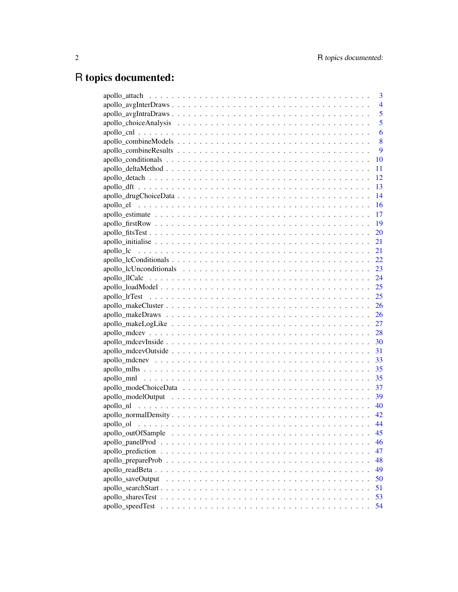# R topics documented:

|                    | 3              |
|--------------------|----------------|
|                    | $\overline{4}$ |
|                    | 5              |
|                    | 5              |
|                    | 6              |
|                    | 8              |
|                    | 9              |
|                    | 10             |
|                    | 11             |
|                    | 12             |
|                    | 13             |
|                    | 14             |
|                    | 16             |
|                    | 17             |
|                    | 19             |
|                    | 20             |
|                    | 21             |
|                    | 21             |
|                    |                |
|                    |                |
|                    |                |
|                    |                |
|                    |                |
|                    |                |
|                    |                |
|                    |                |
|                    |                |
|                    |                |
|                    |                |
|                    |                |
|                    |                |
|                    |                |
|                    |                |
|                    |                |
|                    |                |
|                    |                |
|                    |                |
| apollo outOfSample | 45             |
|                    | 46             |
|                    | 47             |
|                    | 48             |
|                    | 49             |
| apollo_saveOutput  | 50             |
|                    | 51             |
|                    | 53             |
| apollo_speedTest   | 54             |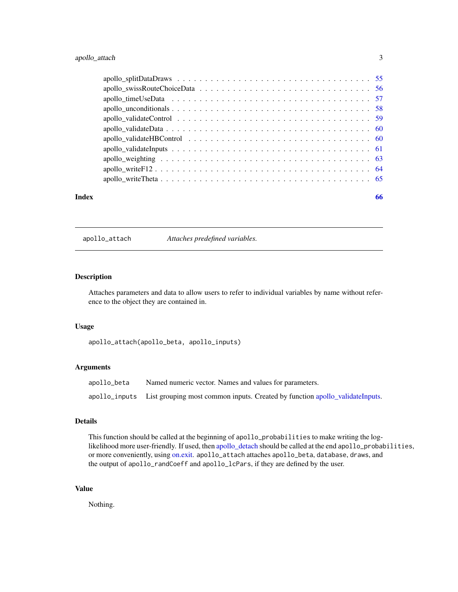<span id="page-2-0"></span>

| Index | 66 |
|-------|----|

<span id="page-2-1"></span>apollo\_attach *Attaches predefined variables.*

## Description

Attaches parameters and data to allow users to refer to individual variables by name without reference to the object they are contained in.

#### Usage

apollo\_attach(apollo\_beta, apollo\_inputs)

## Arguments

| apollo_beta | Named numeric vector. Names and values for parameters.                                     |
|-------------|--------------------------------------------------------------------------------------------|
|             | apollo_inputs List grouping most common inputs. Created by function apollo_validateInputs. |

## Details

This function should be called at the beginning of apollo\_probabilities to make writing the loglikelihood more user-friendly. If used, then [apollo\\_detach](#page-11-1) should be called at the end apollo\_probabilities, or more conveniently, using [on.exit.](#page-0-0) apollo\_attach attaches apollo\_beta, database, draws, and the output of apollo\_randCoeff and apollo\_lcPars, if they are defined by the user.

## Value

Nothing.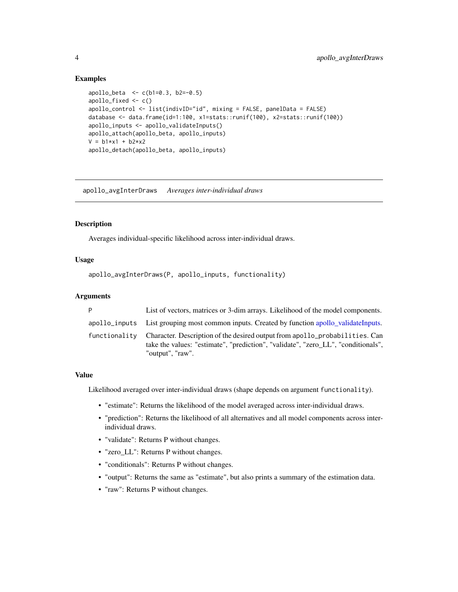#### <span id="page-3-0"></span>Examples

```
apollo_beta < -c(b1=0.3, b2=-0.5)apollo_fixed <- c()
apollo_control <- list(indivID="id", mixing = FALSE, panelData = FALSE)
database <- data.frame(id=1:100, x1=stats::runif(100), x2=stats::runif(100))
apollo_inputs <- apollo_validateInputs()
apollo_attach(apollo_beta, apollo_inputs)
V = b1*x1 + b2*x2apollo_detach(apollo_beta, apollo_inputs)
```
apollo\_avgInterDraws *Averages inter-individual draws*

#### Description

Averages individual-specific likelihood across inter-individual draws.

## Usage

```
apollo_avgInterDraws(P, apollo_inputs, functionality)
```
## Arguments

| P | List of vectors, matrices or 3-dim arrays. Likelihood of the model components.                                                                                                                     |
|---|----------------------------------------------------------------------------------------------------------------------------------------------------------------------------------------------------|
|   | apollo_inputs List grouping most common inputs. Created by function apollo_validateInputs.                                                                                                         |
|   | functionality Character. Description of the desired output from apollo_probabilities. Can<br>take the values: "estimate", "prediction", "validate", "zero LL", "conditionals",<br>"output", "raw". |

#### Value

Likelihood averaged over inter-individual draws (shape depends on argument functionality).

- "estimate": Returns the likelihood of the model averaged across inter-individual draws.
- "prediction": Returns the likelihood of all alternatives and all model components across interindividual draws.
- "validate": Returns P without changes.
- "zero\_LL": Returns P without changes.
- "conditionals": Returns P without changes.
- "output": Returns the same as "estimate", but also prints a summary of the estimation data.
- "raw": Returns P without changes.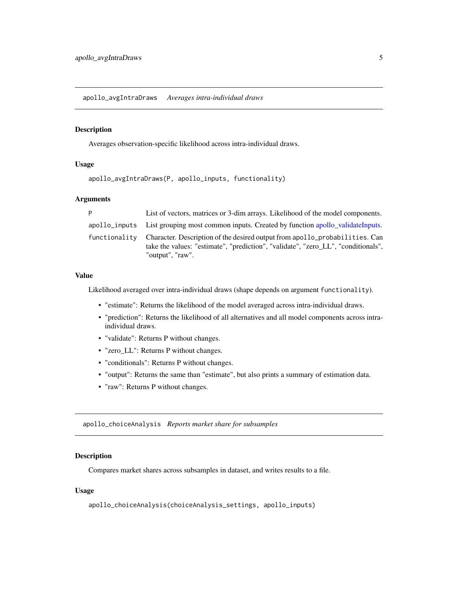<span id="page-4-0"></span>apollo\_avgIntraDraws *Averages intra-individual draws*

#### Description

Averages observation-specific likelihood across intra-individual draws.

## Usage

```
apollo_avgIntraDraws(P, apollo_inputs, functionality)
```
#### Arguments

| P             | List of vectors, matrices or 3-dim arrays. Likelihood of the model components.                                                                                                       |
|---------------|--------------------------------------------------------------------------------------------------------------------------------------------------------------------------------------|
|               | apollo_inputs List grouping most common inputs. Created by function apollo_validateInputs.                                                                                           |
| functionalitv | Character. Description of the desired output from apollo_probabilities. Can<br>take the values: "estimate", "prediction", "validate", "zero LL", "conditionals",<br>"output", "raw". |

## Value

Likelihood averaged over intra-individual draws (shape depends on argument functionality).

- "estimate": Returns the likelihood of the model averaged across intra-individual draws.
- "prediction": Returns the likelihood of all alternatives and all model components across intraindividual draws.
- "validate": Returns P without changes.
- "zero\_LL": Returns P without changes.
- "conditionals": Returns P without changes.
- "output": Returns the same than "estimate", but also prints a summary of estimation data.
- "raw": Returns P without changes.

apollo\_choiceAnalysis *Reports market share for subsamples*

## Description

Compares market shares across subsamples in dataset, and writes results to a file.

#### Usage

apollo\_choiceAnalysis(choiceAnalysis\_settings, apollo\_inputs)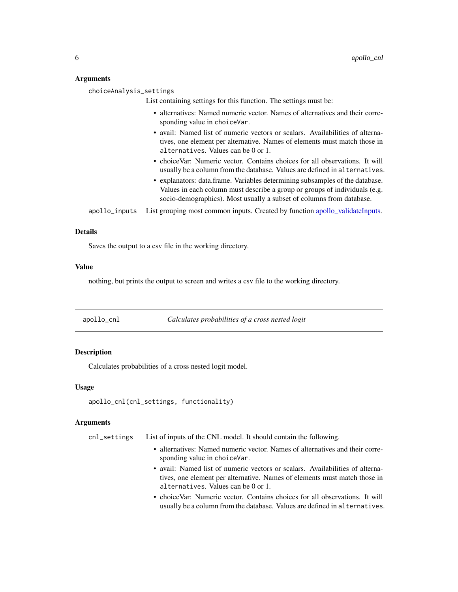## <span id="page-5-0"></span>Arguments

| choiceAnalysis_settings |                                                                                                                                                                                                                                    |
|-------------------------|------------------------------------------------------------------------------------------------------------------------------------------------------------------------------------------------------------------------------------|
|                         | List containing settings for this function. The settings must be:                                                                                                                                                                  |
|                         | • alternatives: Named numeric vector. Names of alternatives and their corre-<br>sponding value in choiceVar.                                                                                                                       |
|                         | • avail: Named list of numeric vectors or scalars. Availabilities of alterna-<br>tives, one element per alternative. Names of elements must match those in<br>alternatives. Values can be 0 or 1.                                  |
|                         | • choice Var: Numeric vector. Contains choices for all observations. It will<br>usually be a column from the database. Values are defined in alternatives.                                                                         |
|                         | • explanators: data.frame. Variables determining subsamples of the database.<br>Values in each column must describe a group or groups of individuals (e.g.<br>socio-demographics). Most usually a subset of columns from database. |
| apollo_inputs           | List grouping most common inputs. Created by function apollo_validateInputs.                                                                                                                                                       |

#### Details

Saves the output to a csv file in the working directory.

#### Value

nothing, but prints the output to screen and writes a csv file to the working directory.

| apollo_cnl |  | Calculates probabilities of a cross nested logit |
|------------|--|--------------------------------------------------|
|            |  |                                                  |

## Description

Calculates probabilities of a cross nested logit model.

## Usage

```
apollo_cnl(cnl_settings, functionality)
```
#### Arguments

cnl\_settings List of inputs of the CNL model. It should contain the following.

- alternatives: Named numeric vector. Names of alternatives and their corresponding value in choiceVar.
- avail: Named list of numeric vectors or scalars. Availabilities of alternatives, one element per alternative. Names of elements must match those in alternatives. Values can be 0 or 1.
- choiceVar: Numeric vector. Contains choices for all observations. It will usually be a column from the database. Values are defined in alternatives.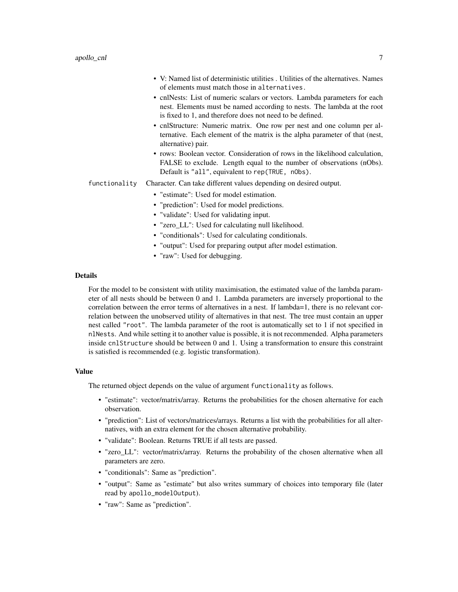- V: Named list of deterministic utilities . Utilities of the alternatives. Names of elements must match those in alternatives.
- cnlNests: List of numeric scalars or vectors. Lambda parameters for each nest. Elements must be named according to nests. The lambda at the root is fixed to 1, and therefore does not need to be defined.
- cnlStructure: Numeric matrix. One row per nest and one column per alternative. Each element of the matrix is the alpha parameter of that (nest, alternative) pair.
- rows: Boolean vector. Consideration of rows in the likelihood calculation, FALSE to exclude. Length equal to the number of observations (nObs). Default is "all", equivalent to rep(TRUE, nObs).
- functionality Character. Can take different values depending on desired output.
	- "estimate": Used for model estimation.
		- "prediction": Used for model predictions.
		- "validate": Used for validating input.
		- "zero\_LL": Used for calculating null likelihood.
		- "conditionals": Used for calculating conditionals.
		- "output": Used for preparing output after model estimation.
		- "raw": Used for debugging.

## Details

For the model to be consistent with utility maximisation, the estimated value of the lambda parameter of all nests should be between 0 and 1. Lambda parameters are inversely proportional to the correlation between the error terms of alternatives in a nest. If lambda=1, there is no relevant correlation between the unobserved utility of alternatives in that nest. The tree must contain an upper nest called "root". The lambda parameter of the root is automatically set to 1 if not specified in nlNests. And while setting it to another value is possible, it is not recommended. Alpha parameters inside cnlStructure should be between 0 and 1. Using a transformation to ensure this constraint is satisfied is recommended (e.g. logistic transformation).

#### Value

The returned object depends on the value of argument functionality as follows.

- "estimate": vector/matrix/array. Returns the probabilities for the chosen alternative for each observation.
- "prediction": List of vectors/matrices/arrays. Returns a list with the probabilities for all alternatives, with an extra element for the chosen alternative probability.
- "validate": Boolean. Returns TRUE if all tests are passed.
- "zero\_LL": vector/matrix/array. Returns the probability of the chosen alternative when all parameters are zero.
- "conditionals": Same as "prediction".
- "output": Same as "estimate" but also writes summary of choices into temporary file (later read by apollo\_modelOutput).
- "raw": Same as "prediction".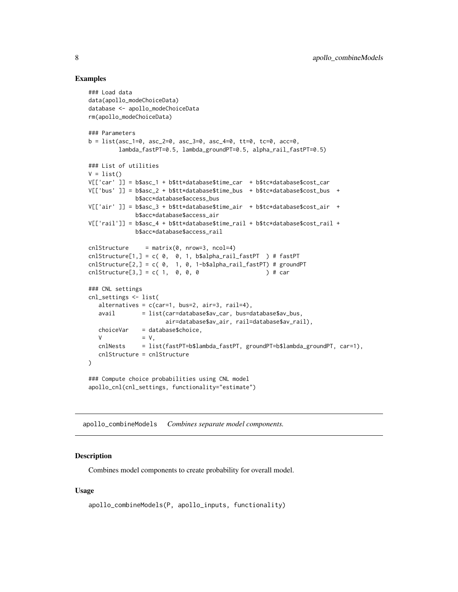## Examples

```
### Load data
data(apollo_modeChoiceData)
database <- apollo_modeChoiceData
rm(apollo_modeChoiceData)
### Parameters
b = list(asc_1=0, asc_2=0, asc_3=0, asc_4=0, tt=0, tc=0, acc=0,
        lambda_fastPT=0.5, lambda_groundPT=0.5, alpha_rail_fastPT=0.5)
### List of utilities
V = list()V[['car' ]] = b$asc_1 + b$tt*database$time_car + b$tc*database$cost_car
V[['bus' ]] = b$asc_2 + b$tt*database$time_bus + b$tc*database$cost_bus +
             b$acc*database$access_bus
V[['air' ]] = b$asc_3 + b$tt*database$time_air + b$tc*database$cost_air +
             b$acc*database$access_air
V[['rail']] = b$asc_4 + b$tt*database$time_rail + b$tc*database$cost_rail +
             b$acc*database$access_rail
cnlStructure = matrix(0, nrow=3, ncol=4)cnlStructure[1,] = c( 0, 0, 1, b$alpha_rail_fastPT ) # fastPT
cnlStructure[2,] = c( 0, 1, 0, 1-b$alpha_rail_fastPT) # groundPT
cn1Structure[3,] = c( 1, 0, 0, 0 ) + car
### CNL settings
cnl_settings <- list(
   alternatives = c(car=1, bus=2, air=3, rail=4),avail = list(car=database$av_car, bus=database$av_bus,
                      air=database$av_air, rail=database$av_rail),
  choiceVar = database$choice,
  V = V,cnlNests = list(fastPT=b$lambda_fastPT, groundPT=b$lambda_groundPT, car=1),
  cnlStructure = cnlStructure
)
### Compute choice probabilities using CNL model
apollo_cnl(cnl_settings, functionality="estimate")
```
apollo\_combineModels *Combines separate model components.*

#### Description

Combines model components to create probability for overall model.

#### Usage

```
apollo_combineModels(P, apollo_inputs, functionality)
```
<span id="page-7-0"></span>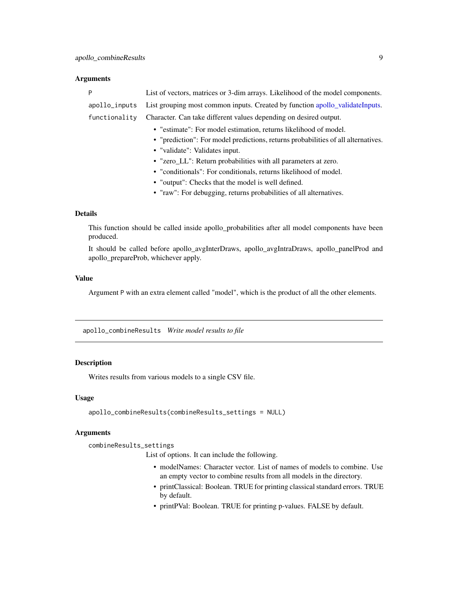#### <span id="page-8-0"></span>**Arguments**

|                                                                | P             | List of vectors, matrices or 3-dim arrays. Likelihood of the model components.    |  |
|----------------------------------------------------------------|---------------|-----------------------------------------------------------------------------------|--|
|                                                                | apollo_inputs | List grouping most common inputs. Created by function apollo_validateInputs.      |  |
|                                                                | functionality | Character. Can take different values depending on desired output.                 |  |
|                                                                |               | • "estimate": For model estimation, returns likelihood of model.                  |  |
|                                                                |               | • "prediction": For model predictions, returns probabilities of all alternatives. |  |
|                                                                |               | • "validate": Validates input.                                                    |  |
| • "zero_LL": Return probabilities with all parameters at zero. |               |                                                                                   |  |
|                                                                |               | • "conditionals": For conditionals, returns likelihood of model.                  |  |
|                                                                |               | • "output": Checks that the model is well defined.                                |  |
|                                                                |               | • "raw": For debugging, returns probabilities of all alternatives.                |  |
|                                                                |               |                                                                                   |  |

## Details

This function should be called inside apollo\_probabilities after all model components have been produced.

It should be called before apollo\_avgInterDraws, apollo\_avgIntraDraws, apollo\_panelProd and apollo\_prepareProb, whichever apply.

#### Value

Argument P with an extra element called "model", which is the product of all the other elements.

apollo\_combineResults *Write model results to file*

## Description

Writes results from various models to a single CSV file.

## Usage

```
apollo_combineResults(combineResults_settings = NULL)
```
## Arguments

combineResults\_settings

List of options. It can include the following.

- modelNames: Character vector. List of names of models to combine. Use an empty vector to combine results from all models in the directory.
- printClassical: Boolean. TRUE for printing classical standard errors. TRUE by default.
- printPVal: Boolean. TRUE for printing p-values. FALSE by default.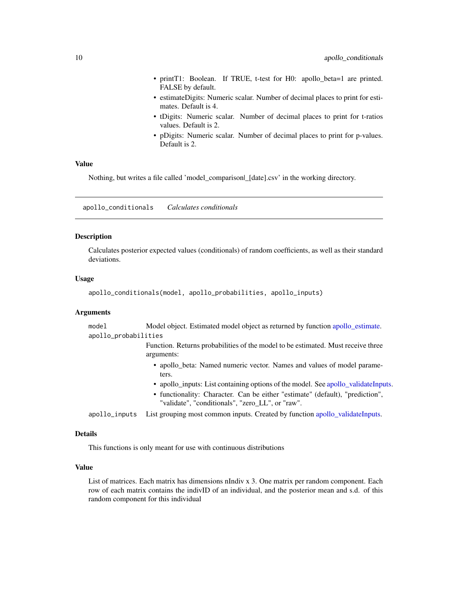- <span id="page-9-0"></span>• printT1: Boolean. If TRUE, t-test for H0: apollo\_beta=1 are printed. FALSE by default.
- estimateDigits: Numeric scalar. Number of decimal places to print for estimates. Default is 4.
- tDigits: Numeric scalar. Number of decimal places to print for t-ratios values. Default is 2.
- pDigits: Numeric scalar. Number of decimal places to print for p-values. Default is 2.

## Value

Nothing, but writes a file called 'model comparison| [date].csv' in the working directory.

apollo\_conditionals *Calculates conditionals*

#### Description

Calculates posterior expected values (conditionals) of random coefficients, as well as their standard deviations.

## Usage

```
apollo_conditionals(model, apollo_probabilities, apollo_inputs)
```
## Arguments

| model                | Model object. Estimated model object as returned by function apollo_estimate.                                                                                                                                           |
|----------------------|-------------------------------------------------------------------------------------------------------------------------------------------------------------------------------------------------------------------------|
| apollo_probabilities |                                                                                                                                                                                                                         |
|                      | Function. Returns probabilities of the model to be estimated. Must receive three<br>arguments:                                                                                                                          |
|                      | • apollo_beta: Named numeric vector. Names and values of model parame-<br>ters.                                                                                                                                         |
|                      | • apollo inputs: List containing options of the model. See apollo validate Inputs.<br>• functionality: Character. Can be either "estimate" (default), "prediction",<br>"validate", "conditionals", "zero LL", or "raw". |
| apollo_inputs        | List grouping most common inputs. Created by function apollo_validateInputs.                                                                                                                                            |

#### Details

This functions is only meant for use with continuous distributions

#### Value

List of matrices. Each matrix has dimensions nIndiv x 3. One matrix per random component. Each row of each matrix contains the indivID of an individual, and the posterior mean and s.d. of this random component for this individual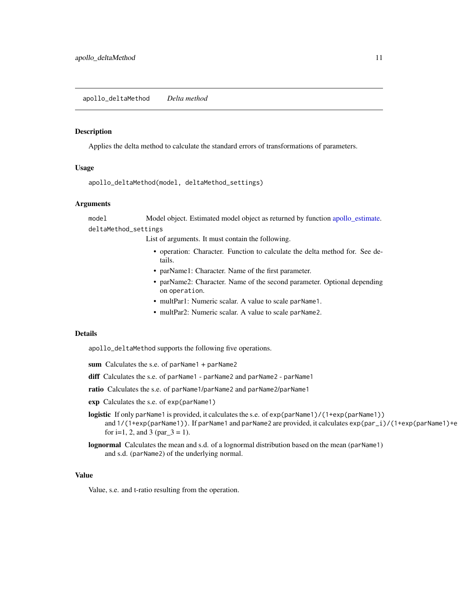<span id="page-10-0"></span>Applies the delta method to calculate the standard errors of transformations of parameters.

#### Usage

```
apollo_deltaMethod(model, deltaMethod_settings)
```
#### Arguments

model Model object. Estimated model object as returned by function [apollo\\_estimate.](#page-16-1) deltaMethod\_settings

List of arguments. It must contain the following.

- operation: Character. Function to calculate the delta method for. See details.
- parName1: Character. Name of the first parameter.
- parName2: Character. Name of the second parameter. Optional depending on operation.
- multPar1: Numeric scalar. A value to scale parName1.
- multPar2: Numeric scalar. A value to scale parName2.

### Details

apollo\_deltaMethod supports the following five operations.

- sum Calculates the s.e. of parName1 + parName2
- diff Calculates the s.e. of parName1 parName2 and parName2 parName1
- ratio Calculates the s.e. of parName1/parName2 and parName2/parName1
- exp Calculates the s.e. of exp(parName1)
- logistic If only parName1 is provided, it calculates the s.e. of exp(parName1)/(1+exp(parName1)) and  $1/(1+\exp(\text{parName1}))$ . If parName1 and parName2 are provided, it calculates  $\exp(\text{par}_i)/((1+\exp(\text{parName1})+\text{parName2}))$ for i=1, 2, and 3 (par $_3 = 1$ ).
- lognormal Calculates the mean and s.d. of a lognormal distribution based on the mean (parName1) and s.d. (parName2) of the underlying normal.

#### Value

Value, s.e. and t-ratio resulting from the operation.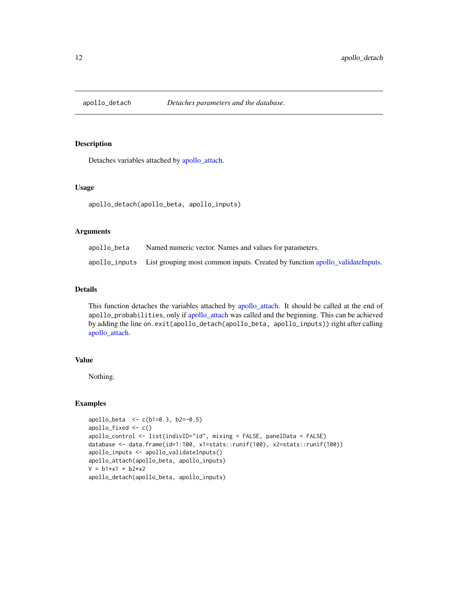<span id="page-11-1"></span><span id="page-11-0"></span>

Detaches variables attached by [apollo\\_attach.](#page-2-1)

#### Usage

apollo\_detach(apollo\_beta, apollo\_inputs)

## Arguments

| apollo_beta | Named numeric vector. Names and values for parameters.                                     |
|-------------|--------------------------------------------------------------------------------------------|
|             | apollo_inputs List grouping most common inputs. Created by function apollo_validateInputs. |

## Details

This function detaches the variables attached by [apollo\\_attach.](#page-2-1) It should be called at the end of apollo\_probabilities, only if [apollo\\_attach](#page-2-1) was called and the beginning. This can be achieved by adding the line on.exit(apollo\_detach(apollo\_beta, apollo\_inputs)) right after calling [apollo\\_attach.](#page-2-1)

## Value

Nothing.

## Examples

```
apollo_beta <- c(b1=0.3, b2=-0.5)
apollo_fixed <- c()
apollo_control <- list(indivID="id", mixing = FALSE, panelData = FALSE)
database <- data.frame(id=1:100, x1=stats::runif(100), x2=stats::runif(100))
apollo_inputs <- apollo_validateInputs()
apollo_attach(apollo_beta, apollo_inputs)
V = b1*x1 + b2*x2apollo_detach(apollo_beta, apollo_inputs)
```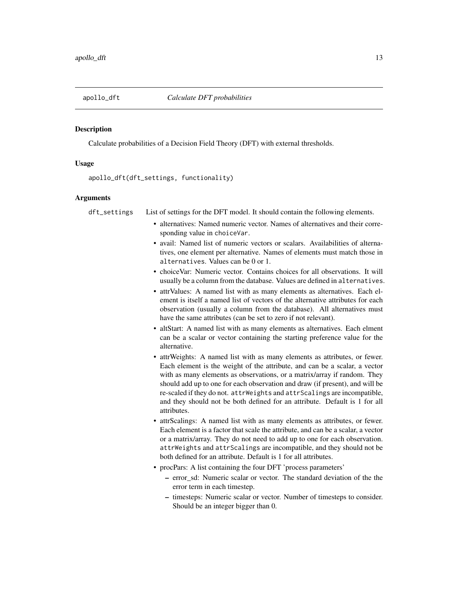<span id="page-12-0"></span>

Calculate probabilities of a Decision Field Theory (DFT) with external thresholds.

#### Usage

apollo\_dft(dft\_settings, functionality)

#### **Arguments**

dft\_settings List of settings for the DFT model. It should contain the following elements.

- alternatives: Named numeric vector. Names of alternatives and their corresponding value in choiceVar.
- avail: Named list of numeric vectors or scalars. Availabilities of alternatives, one element per alternative. Names of elements must match those in alternatives. Values can be 0 or 1.
- choiceVar: Numeric vector. Contains choices for all observations. It will usually be a column from the database. Values are defined in alternatives.
- attrValues: A named list with as many elements as alternatives. Each element is itself a named list of vectors of the alternative attributes for each observation (usually a column from the database). All alternatives must have the same attributes (can be set to zero if not relevant).
- altStart: A named list with as many elements as alternatives. Each elment can be a scalar or vector containing the starting preference value for the alternative.
- attrWeights: A named list with as many elements as attributes, or fewer. Each element is the weight of the attribute, and can be a scalar, a vector with as many elements as observations, or a matrix/array if random. They should add up to one for each observation and draw (if present), and will be re-scaled if they do not. attrWeights and attrScalings are incompatible, and they should not be both defined for an attribute. Default is 1 for all attributes.
- attrScalings: A named list with as many elements as attributes, or fewer. Each element is a factor that scale the attribute, and can be a scalar, a vector or a matrix/array. They do not need to add up to one for each observation. attrWeights and attrScalings are incompatible, and they should not be both defined for an attribute. Default is 1 for all attributes.
- procPars: A list containing the four DFT 'process parameters'
	- error\_sd: Numeric scalar or vector. The standard deviation of the the error term in each timestep.
	- timesteps: Numeric scalar or vector. Number of timesteps to consider. Should be an integer bigger than 0.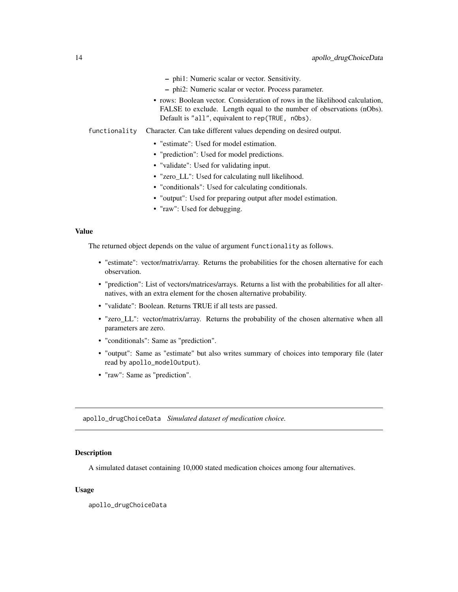- phi1: Numeric scalar or vector. Sensitivity.
- phi2: Numeric scalar or vector. Process parameter.
- rows: Boolean vector. Consideration of rows in the likelihood calculation, FALSE to exclude. Length equal to the number of observations (nObs). Default is "all", equivalent to rep(TRUE, nObs).

<span id="page-13-0"></span>functionality Character. Can take different values depending on desired output.

- "estimate": Used for model estimation.
- "prediction": Used for model predictions.
- "validate": Used for validating input.
- "zero\_LL": Used for calculating null likelihood.
- "conditionals": Used for calculating conditionals.
- "output": Used for preparing output after model estimation.
- "raw": Used for debugging.

#### Value

The returned object depends on the value of argument functionality as follows.

- "estimate": vector/matrix/array. Returns the probabilities for the chosen alternative for each observation.
- "prediction": List of vectors/matrices/arrays. Returns a list with the probabilities for all alternatives, with an extra element for the chosen alternative probability.
- "validate": Boolean. Returns TRUE if all tests are passed.
- "zero\_LL": vector/matrix/array. Returns the probability of the chosen alternative when all parameters are zero.
- "conditionals": Same as "prediction".
- "output": Same as "estimate" but also writes summary of choices into temporary file (later read by apollo\_modelOutput).
- "raw": Same as "prediction".

apollo\_drugChoiceData *Simulated dataset of medication choice.*

#### Description

A simulated dataset containing 10,000 stated medication choices among four alternatives.

#### Usage

apollo\_drugChoiceData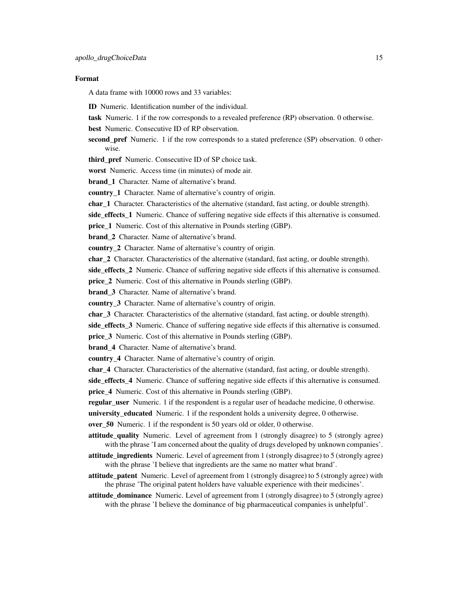#### Format

A data frame with 10000 rows and 33 variables:

- ID Numeric. Identification number of the individual.
- task Numeric. 1 if the row corresponds to a revealed preference (RP) observation. 0 otherwise.
- best Numeric. Consecutive ID of RP observation.
- second\_pref Numeric. 1 if the row corresponds to a stated preference (SP) observation. 0 otherwise.
- third pref Numeric. Consecutive ID of SP choice task.
- worst Numeric. Access time (in minutes) of mode air.

**brand** 1 Character. Name of alternative's brand.

country\_1 Character. Name of alternative's country of origin.

char\_1 Character. Characteristics of the alternative (standard, fast acting, or double strength).

side\_effects\_1 Numeric. Chance of suffering negative side effects if this alternative is consumed.

price\_1 Numeric. Cost of this alternative in Pounds sterling (GBP).

brand 2 Character. Name of alternative's brand.

country\_2 Character. Name of alternative's country of origin.

char\_2 Character. Characteristics of the alternative (standard, fast acting, or double strength).

side effects 2 Numeric. Chance of suffering negative side effects if this alternative is consumed.

price\_2 Numeric. Cost of this alternative in Pounds sterling (GBP).

brand\_3 Character. Name of alternative's brand.

country\_3 Character. Name of alternative's country of origin.

char 3 Character. Characteristics of the alternative (standard, fast acting, or double strength).

side\_effects\_3 Numeric. Chance of suffering negative side effects if this alternative is consumed.

price\_3 Numeric. Cost of this alternative in Pounds sterling (GBP).

brand 4 Character. Name of alternative's brand.

country\_4 Character. Name of alternative's country of origin.

char<sub>-4</sub> Character. Characteristics of the alternative (standard, fast acting, or double strength).

side effects 4 Numeric. Chance of suffering negative side effects if this alternative is consumed.

price\_4 Numeric. Cost of this alternative in Pounds sterling (GBP).

regular\_user Numeric. 1 if the respondent is a regular user of headache medicine, 0 otherwise.

university\_educated Numeric. 1 if the respondent holds a university degree, 0 otherwise.

over\_50 Numeric. 1 if the respondent is 50 years old or older, 0 otherwise.

- attitude quality Numeric. Level of agreement from 1 (strongly disagree) to 5 (strongly agree) with the phrase 'I am concerned about the quality of drugs developed by unknown companies'.
- attitude ingredients Numeric. Level of agreement from 1 (strongly disagree) to 5 (strongly agree) with the phrase 'I believe that ingredients are the same no matter what brand'.

attitude\_patent Numeric. Level of agreement from 1 (strongly disagree) to 5 (strongly agree) with the phrase 'The original patent holders have valuable experience with their medicines'.

attitude dominance Numeric. Level of agreement from 1 (strongly disagree) to 5 (strongly agree) with the phrase 'I believe the dominance of big pharmaceutical companies is unhelpful'.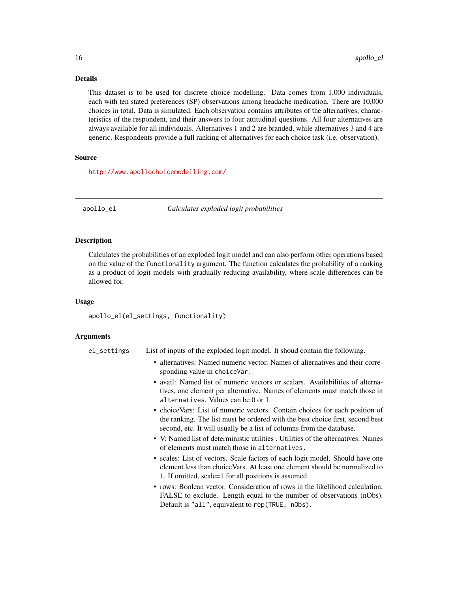## <span id="page-15-0"></span>Details

This dataset is to be used for discrete choice modelling. Data comes from 1,000 individuals, each with ten stated preferences (SP) observations among headache medication. There are 10,000 choices in total. Data is simulated. Each observation contains attributes of the alternatives, characteristics of the respondent, and their answers to four attitudinal questions. All four alternatives are always available for all individuals. Alternatives 1 and 2 are branded, while alternatives 3 and 4 are generic. Respondents provide a full ranking of alternatives for each choice task (i.e. observation).

#### Source

<http://www.apollochoicemodelling.com/>

apollo\_el *Calculates exploded logit probabilities*

#### **Description**

Calculates the probabilities of an exploded logit model and can also perform other operations based on the value of the functionality argument. The function calculates the probability of a ranking as a product of logit models with gradually reducing availability, where scale differences can be allowed for.

#### Usage

apollo\_el(el\_settings, functionality)

#### Arguments

el\_settings List of inputs of the exploded logit model. It shoud contain the following.

- alternatives: Named numeric vector. Names of alternatives and their corresponding value in choiceVar.
- avail: Named list of numeric vectors or scalars. Availabilities of alternatives, one element per alternative. Names of elements must match those in alternatives. Values can be 0 or 1.
- choiceVars: List of numeric vectors. Contain choices for each position of the ranking. The list must be ordered with the best choice first, second best second, etc. It will usually be a list of columns from the database.
- V: Named list of deterministic utilities . Utilities of the alternatives. Names of elements must match those in alternatives.
- scales: List of vectors. Scale factors of each logit model. Should have one element less than choiceVars. At least one element should be normalized to 1. If omitted, scale=1 for all positions is assumed.
- rows: Boolean vector. Consideration of rows in the likelihood calculation, FALSE to exclude. Length equal to the number of observations (nObs). Default is "all", equivalent to rep(TRUE, nObs).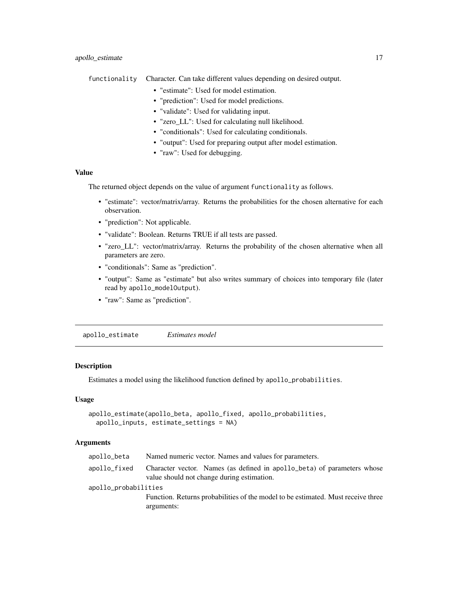<span id="page-16-0"></span>functionality Character. Can take different values depending on desired output.

- "estimate": Used for model estimation.
- "prediction": Used for model predictions.
- "validate": Used for validating input.
- "zero\_LL": Used for calculating null likelihood.
- "conditionals": Used for calculating conditionals.
- "output": Used for preparing output after model estimation.
- "raw": Used for debugging.

## Value

The returned object depends on the value of argument functionality as follows.

- "estimate": vector/matrix/array. Returns the probabilities for the chosen alternative for each observation.
- "prediction": Not applicable.
- "validate": Boolean. Returns TRUE if all tests are passed.
- "zero\_LL": vector/matrix/array. Returns the probability of the chosen alternative when all parameters are zero.
- "conditionals": Same as "prediction".
- "output": Same as "estimate" but also writes summary of choices into temporary file (later read by apollo\_modelOutput).
- "raw": Same as "prediction".

<span id="page-16-1"></span>apollo\_estimate *Estimates model*

## Description

Estimates a model using the likelihood function defined by apollo\_probabilities.

## Usage

```
apollo_estimate(apollo_beta, apollo_fixed, apollo_probabilities,
  apollo_inputs, estimate_settings = NA)
```
#### Arguments

| apollo_beta          | Named numeric vector. Names and values for parameters.                                                                |
|----------------------|-----------------------------------------------------------------------------------------------------------------------|
| apollo_fixed         | Character vector. Names (as defined in apollo_beta) of parameters whose<br>value should not change during estimation. |
| apollo_probabilities |                                                                                                                       |
|                      | Function. Returns probabilities of the model to be estimated. Must receive three<br>arguments:                        |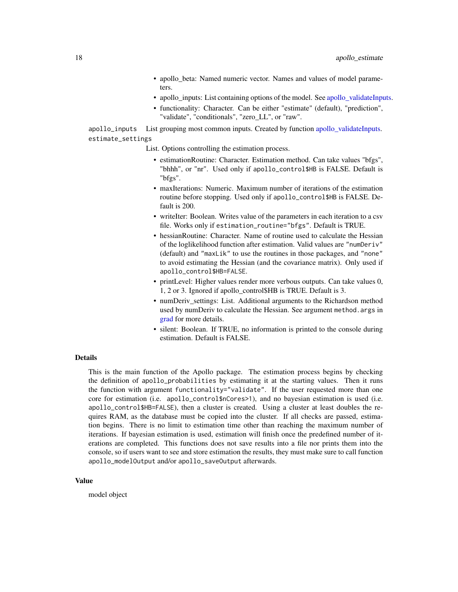- apollo\_beta: Named numeric vector. Names and values of model parameters.
- apollo\_inputs: List containing options of the model. See [apollo\\_validateInputs.](#page-60-1)
- functionality: Character. Can be either "estimate" (default), "prediction", "validate", "conditionals", "zero\_LL", or "raw".

<span id="page-17-0"></span>apollo\_inputs List grouping most common inputs. Created by function [apollo\\_validateInputs.](#page-60-1) estimate\_settings

List. Options controlling the estimation process.

- estimationRoutine: Character. Estimation method. Can take values "bfgs", "bhhh", or "nr". Used only if apollo\_control\$HB is FALSE. Default is "bfgs".
- maxIterations: Numeric. Maximum number of iterations of the estimation routine before stopping. Used only if apollo\_control\$HB is FALSE. Default is 200.
- writeIter: Boolean. Writes value of the parameters in each iteration to a csv file. Works only if estimation\_routine="bfgs". Default is TRUE.
- hessianRoutine: Character. Name of routine used to calculate the Hessian of the loglikelihood function after estimation. Valid values are "numDeriv" (default) and "maxLik" to use the routines in those packages, and "none" to avoid estimating the Hessian (and the covariance matrix). Only used if apollo\_control\$HB=FALSE.
- printLevel: Higher values render more verbous outputs. Can take values 0, 1, 2 or 3. Ignored if apollo\_control\$HB is TRUE. Default is 3.
- numDeriv settings: List. Additional arguments to the Richardson method used by numDeriv to calculate the Hessian. See argument method.args in [grad](#page-0-0) for more details.
- silent: Boolean. If TRUE, no information is printed to the console during estimation. Default is FALSE.

#### Details

This is the main function of the Apollo package. The estimation process begins by checking the definition of apollo\_probabilities by estimating it at the starting values. Then it runs the function with argument functionality="validate". If the user requested more than one core for estimation (i.e. apollo\_control\$nCores>1), and no bayesian estimation is used (i.e. apollo\_control\$HB=FALSE), then a cluster is created. Using a cluster at least doubles the requires RAM, as the database must be copied into the cluster. If all checks are passed, estimation begins. There is no limit to estimation time other than reaching the maximum number of iterations. If bayesian estimation is used, estimation will finish once the predefined number of iterations are completed. This functions does not save results into a file nor prints them into the console, so if users want to see and store estimation the results, they must make sure to call function apollo\_modelOutput and/or apollo\_saveOutput afterwards.

#### Value

model object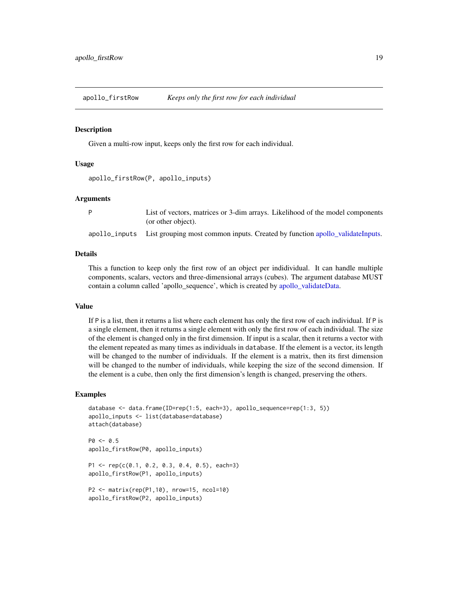<span id="page-18-0"></span>

Given a multi-row input, keeps only the first row for each individual.

## Usage

```
apollo_firstRow(P, apollo_inputs)
```
#### Arguments

| List of vectors, matrices or 3-dim arrays. Likelihood of the model components              |
|--------------------------------------------------------------------------------------------|
| (or other object).                                                                         |
| apollo_inputs List grouping most common inputs. Created by function apollo_validateInputs. |

#### Details

This a function to keep only the first row of an object per indidividual. It can handle multiple components, scalars, vectors and three-dimensional arrays (cubes). The argument database MUST contain a column called 'apollo\_sequence', which is created by [apollo\\_validateData.](#page-59-1)

## Value

If P is a list, then it returns a list where each element has only the first row of each individual. If P is a single element, then it returns a single element with only the first row of each individual. The size of the element is changed only in the first dimension. If input is a scalar, then it returns a vector with the element repeated as many times as individuals in database. If the element is a vector, its length will be changed to the number of individuals. If the element is a matrix, then its first dimension will be changed to the number of individuals, while keeping the size of the second dimension. If the element is a cube, then only the first dimension's length is changed, preserving the others.

#### Examples

```
database \leq data.frame(ID=rep(1:5, each=3), apollo_sequence=rep(1:3, 5))
apollo_inputs <- list(database=database)
attach(database)
P0 \le -0.5apollo_firstRow(P0, apollo_inputs)
P1 <- rep(c(0.1, 0.2, 0.3, 0.4, 0.5), each=3)
apollo_firstRow(P1, apollo_inputs)
```

```
P2 <- matrix(rep(P1,10), nrow=15, ncol=10)
apollo_firstRow(P2, apollo_inputs)
```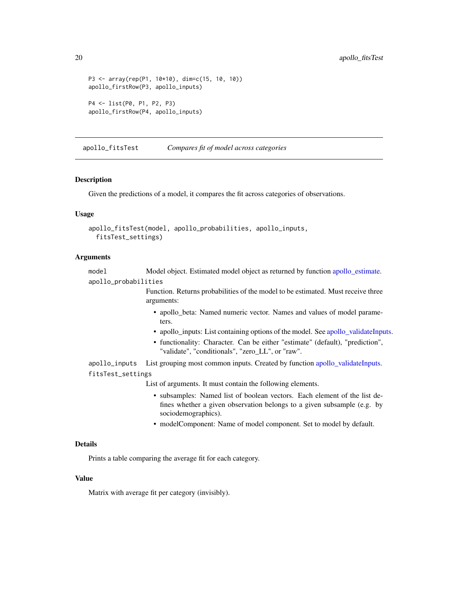```
P3 <- array(rep(P1, 10*10), dim=c(15, 10, 10))
apollo_firstRow(P3, apollo_inputs)
P4 <- list(P0, P1, P2, P3)
apollo_firstRow(P4, apollo_inputs)
```
apollo\_fitsTest *Compares fit of model across categories*

#### Description

Given the predictions of a model, it compares the fit across categories of observations.

## Usage

```
apollo_fitsTest(model, apollo_probabilities, apollo_inputs,
 fitsTest_settings)
```
#### Arguments

model Model object. Estimated model object as returned by function [apollo\\_estimate.](#page-16-1) apollo\_probabilities

> Function. Returns probabilities of the model to be estimated. Must receive three arguments:

- apollo\_beta: Named numeric vector. Names and values of model parameters.
- apollo\_inputs: List containing options of the model. See [apollo\\_validateInputs.](#page-60-1)
- functionality: Character. Can be either "estimate" (default), "prediction", "validate", "conditionals", "zero\_LL", or "raw".

apollo\_inputs List grouping most common inputs. Created by function [apollo\\_validateInputs.](#page-60-1) fitsTest\_settings

List of arguments. It must contain the following elements.

- subsamples: Named list of boolean vectors. Each element of the list defines whether a given observation belongs to a given subsample (e.g. by sociodemographics).
- modelComponent: Name of model component. Set to model by default.

#### Details

Prints a table comparing the average fit for each category.

## Value

Matrix with average fit per category (invisibly).

<span id="page-19-0"></span>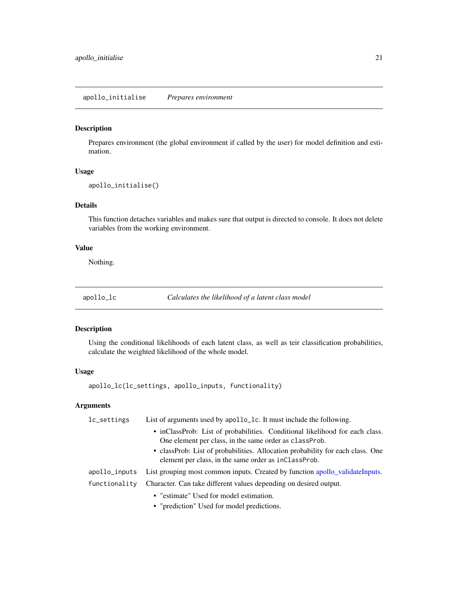<span id="page-20-0"></span>Prepares environment (the global environment if called by the user) for model definition and estimation.

#### Usage

```
apollo_initialise()
```
## Details

This function detaches variables and makes sure that output is directed to console. It does not delete variables from the working environment.

#### Value

Nothing.

apollo\_lc *Calculates the likelihood of a latent class model*

## Description

Using the conditional likelihoods of each latent class, as well as teir classification probabilities, calculate the weighted likelihood of the whole model.

## Usage

apollo\_lc(lc\_settings, apollo\_inputs, functionality)

#### Arguments

| lc_settings   | List of arguments used by apollo_1c. It must include the following.                                                                     |  |
|---------------|-----------------------------------------------------------------------------------------------------------------------------------------|--|
|               | • inClassProb: List of probabilities. Conditional likelihood for each class.<br>One element per class, in the same order as class Prob. |  |
|               | • classProb: List of probabilities. Allocation probability for each class. One<br>element per class, in the same order as inclass Prob. |  |
| apollo_inputs | List grouping most common inputs. Created by function apollo_validateInputs.                                                            |  |
| functionality | Character. Can take different values depending on desired output.                                                                       |  |
|               | • "estimate" Used for model estimation.                                                                                                 |  |
|               | • "prediction" Used for model predictions.                                                                                              |  |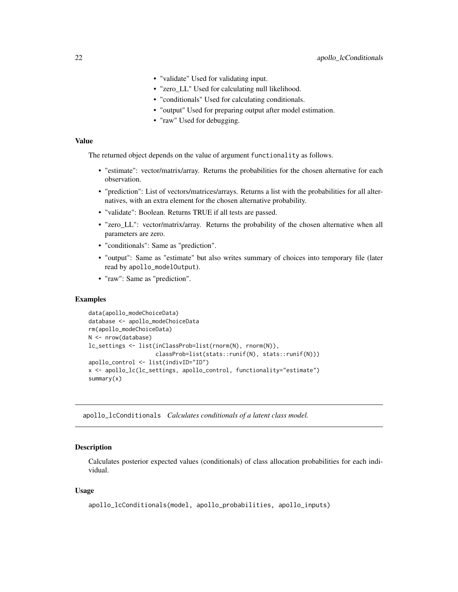- <span id="page-21-0"></span>• "validate" Used for validating input.
- "zero\_LL" Used for calculating null likelihood.
- "conditionals" Used for calculating conditionals.
- "output" Used for preparing output after model estimation.
- "raw" Used for debugging.

## Value

The returned object depends on the value of argument functionality as follows.

- "estimate": vector/matrix/array. Returns the probabilities for the chosen alternative for each observation.
- "prediction": List of vectors/matrices/arrays. Returns a list with the probabilities for all alternatives, with an extra element for the chosen alternative probability.
- "validate": Boolean. Returns TRUE if all tests are passed.
- "zero LL": vector/matrix/array. Returns the probability of the chosen alternative when all parameters are zero.
- "conditionals": Same as "prediction".
- "output": Same as "estimate" but also writes summary of choices into temporary file (later read by apollo\_modelOutput).
- "raw": Same as "prediction".

#### Examples

```
data(apollo_modeChoiceData)
database <- apollo_modeChoiceData
rm(apollo_modeChoiceData)
N <- nrow(database)
lc_settings <- list(inClassProb=list(rnorm(N), rnorm(N)),
                    classProb=list(stats::runif(N), stats::runif(N)))
apollo_control <- list(indivID="ID")
x <- apollo_lc(lc_settings, apollo_control, functionality="estimate")
summary(x)
```
apollo\_lcConditionals *Calculates conditionals of a latent class model.*

#### Description

Calculates posterior expected values (conditionals) of class allocation probabilities for each individual.

#### Usage

```
apollo_lcConditionals(model, apollo_probabilities, apollo_inputs)
```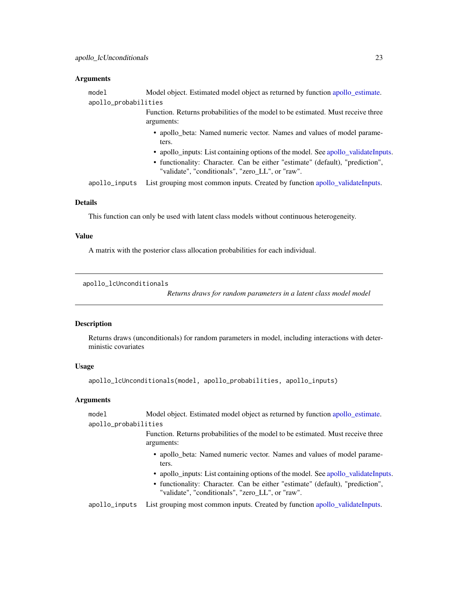#### <span id="page-22-0"></span>**Arguments**

| model                | Model object. Estimated model object as returned by function apollo estimate.                                                     |
|----------------------|-----------------------------------------------------------------------------------------------------------------------------------|
| apollo_probabilities |                                                                                                                                   |
|                      | Function. Returns probabilities of the model to be estimated. Must receive three<br>arguments:                                    |
|                      | • apollo_beta: Named numeric vector. Names and values of model parame-<br>ters.                                                   |
|                      | • apollo_inputs: List containing options of the model. See apollo_validateInputs.                                                 |
|                      | • functionality: Character. Can be either "estimate" (default), "prediction",<br>"validate", "conditionals", "zero_LL", or "raw". |
| apollo_inputs        | List grouping most common inputs. Created by function apollo_validateInputs.                                                      |
|                      |                                                                                                                                   |

## Details

This function can only be used with latent class models without continuous heterogeneity.

#### Value

A matrix with the posterior class allocation probabilities for each individual.

```
apollo_lcUnconditionals
```
*Returns draws for random parameters in a latent class model model*

#### Description

Returns draws (unconditionals) for random parameters in model, including interactions with deterministic covariates

#### Usage

apollo\_lcUnconditionals(model, apollo\_probabilities, apollo\_inputs)

#### Arguments

model Model object. Estimated model object as returned by function [apollo\\_estimate.](#page-16-1) apollo\_probabilities

> Function. Returns probabilities of the model to be estimated. Must receive three arguments:

- apollo\_beta: Named numeric vector. Names and values of model parameters.
- apollo\_inputs: List containing options of the model. See [apollo\\_validateInputs.](#page-60-1)
- functionality: Character. Can be either "estimate" (default), "prediction", "validate", "conditionals", "zero\_LL", or "raw".

apollo\_inputs List grouping most common inputs. Created by function [apollo\\_validateInputs.](#page-60-1)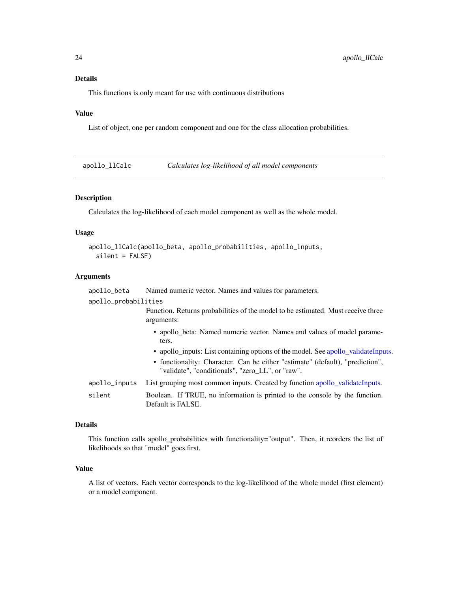## <span id="page-23-0"></span>Details

This functions is only meant for use with continuous distributions

## Value

List of object, one per random component and one for the class allocation probabilities.

apollo\_llCalc *Calculates log-likelihood of all model components*

## Description

Calculates the log-likelihood of each model component as well as the whole model.

## Usage

```
apollo_llCalc(apollo_beta, apollo_probabilities, apollo_inputs,
 silent = FALSE)
```
## Arguments

| apollo_beta          | Named numeric vector. Names and values for parameters.                                                                                                                                                                                                                                                    |  |
|----------------------|-----------------------------------------------------------------------------------------------------------------------------------------------------------------------------------------------------------------------------------------------------------------------------------------------------------|--|
| apollo_probabilities |                                                                                                                                                                                                                                                                                                           |  |
|                      | Function. Returns probabilities of the model to be estimated. Must receive three<br>arguments:                                                                                                                                                                                                            |  |
|                      | • apollo_beta: Named numeric vector. Names and values of model parame-<br>ters.<br>• apollo_inputs: List containing options of the model. See apollo_validateInputs.<br>• functionality: Character. Can be either "estimate" (default), "prediction",<br>"validate", "conditionals", "zero_LL", or "raw". |  |
| apollo_inputs        | List grouping most common inputs. Created by function apollo_validateInputs.                                                                                                                                                                                                                              |  |
| silent               | Boolean. If TRUE, no information is printed to the console by the function.<br>Default is FALSE.                                                                                                                                                                                                          |  |

#### Details

This function calls apollo\_probabilities with functionality="output". Then, it reorders the list of likelihoods so that "model" goes first.

## Value

A list of vectors. Each vector corresponds to the log-likelihood of the whole model (first element) or a model component.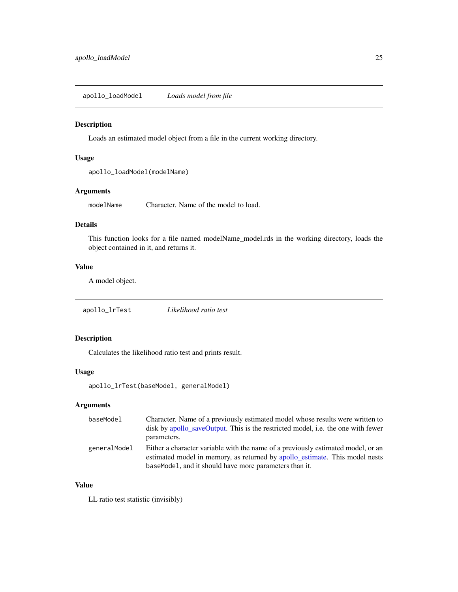<span id="page-24-1"></span><span id="page-24-0"></span>apollo\_loadModel *Loads model from file*

#### Description

Loads an estimated model object from a file in the current working directory.

#### Usage

apollo\_loadModel(modelName)

#### Arguments

modelName Character. Name of the model to load.

## Details

This function looks for a file named modelName\_model.rds in the working directory, loads the object contained in it, and returns it.

## Value

A model object.

apollo\_lrTest *Likelihood ratio test*

## Description

Calculates the likelihood ratio test and prints result.

## Usage

apollo\_lrTest(baseModel, generalModel)

## Arguments

| baseModel    | Character. Name of a previously estimated model whose results were written to<br>disk by apollo_saveOutput. This is the restricted model, i.e. the one with fewer<br>parameters.                                          |
|--------------|---------------------------------------------------------------------------------------------------------------------------------------------------------------------------------------------------------------------------|
| generalModel | Either a character variable with the name of a previously estimated model, or an<br>estimated model in memory, as returned by apollo_estimate. This model nests<br>baseModel, and it should have more parameters than it. |

## Value

LL ratio test statistic (invisibly)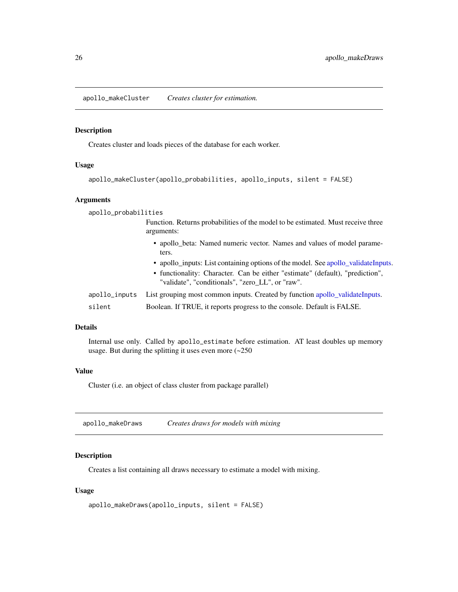<span id="page-25-1"></span><span id="page-25-0"></span>apollo\_makeCluster *Creates cluster for estimation.*

#### Description

Creates cluster and loads pieces of the database for each worker.

## Usage

```
apollo_makeCluster(apollo_probabilities, apollo_inputs, silent = FALSE)
```
#### Arguments

| apollo_probabilities |                                                                                                                                                                                                                        |
|----------------------|------------------------------------------------------------------------------------------------------------------------------------------------------------------------------------------------------------------------|
|                      | Function. Returns probabilities of the model to be estimated. Must receive three<br>arguments:                                                                                                                         |
|                      | • apollo_beta: Named numeric vector. Names and values of model parame-<br>ters.                                                                                                                                        |
|                      | • apollo_inputs: List containing options of the model. See apollo_validateInputs.<br>• functionality: Character. Can be either "estimate" (default), "prediction",<br>"validate", "conditionals", "zero LL", or "raw". |
| apollo_inputs        | List grouping most common inputs. Created by function apollo_validateInputs.                                                                                                                                           |
| silent               | Boolean. If TRUE, it reports progress to the console. Default is FALSE.                                                                                                                                                |

#### Details

Internal use only. Called by apollo\_estimate before estimation. AT least doubles up memory usage. But during the splitting it uses even more (~250

## Value

Cluster (i.e. an object of class cluster from package parallel)

| apollo_makeDraws | Creates draws for models with mixing |
|------------------|--------------------------------------|
|------------------|--------------------------------------|

## Description

Creates a list containing all draws necessary to estimate a model with mixing.

## Usage

```
apollo_makeDraws(apollo_inputs, silent = FALSE)
```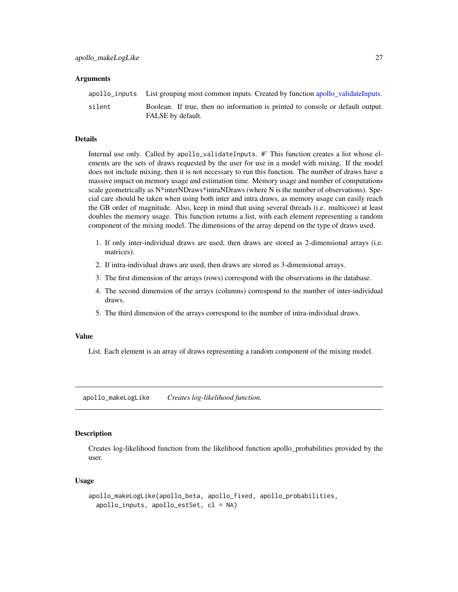#### <span id="page-26-0"></span>**Arguments**

|        | apollo_inputs List grouping most common inputs. Created by function apollo_validateInputs.          |
|--------|-----------------------------------------------------------------------------------------------------|
| silent | Boolean. If true, then no information is printed to console or default output.<br>FALSE by default. |

#### Details

Internal use only. Called by apollo\_validateInputs. #' This function creates a list whose elements are the sets of draws requested by the user for use in a model with mixing. If the model does not include mixing, then it is not necessary to run this function. The number of draws have a massive impact on memory usage and estimation time. Memory usage and number of computations scale geometrically as N\*interNDraws\*intraNDraws (where N is the number of observations). Special care should be taken when using both inter and intra draws, as memory usage can easily reach the GB order of magnitude. Also, keep in mind that using several threads (i.e. multicore) at least doubles the memory usage. This function returns a list, with each element representing a random component of the mixing model. The dimensions of the array depend on the type of draws used.

- 1. If only inter-individual draws are used, then draws are stored as 2-dimensional arrays (i.e. matrices).
- 2. If intra-individual draws are used, then draws are stored as 3-dimensional arrays.
- 3. The first dimension of the arrays (rows) correspond with the observations in the database.
- 4. The second dimension of the arrays (columns) correspond to the number of inter-individual draws.
- 5. The third dimension of the arrays correspond to the number of intra-individual draws.

#### Value

List. Each element is an array of draws representing a random component of the mixing model.

apollo\_makeLogLike *Creates log-likelihood function.*

#### Description

Creates log-likelihood function from the likelihood function apollo\_probabilities provided by the user.

#### Usage

```
apollo_makeLogLike(apollo_beta, apollo_fixed, apollo_probabilities,
  apollo_inputs, apollo_estSet, cl = NA)
```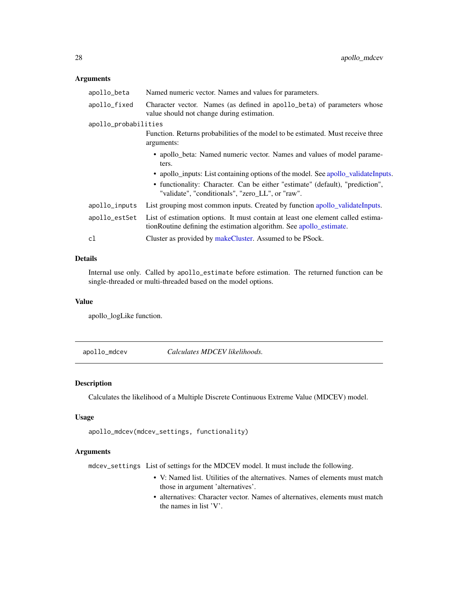## <span id="page-27-0"></span>Arguments

| apollo_beta          | Named numeric vector. Names and values for parameters.                                                                                                 |
|----------------------|--------------------------------------------------------------------------------------------------------------------------------------------------------|
| apollo_fixed         | Character vector. Names (as defined in apollo_beta) of parameters whose<br>value should not change during estimation.                                  |
| apollo_probabilities |                                                                                                                                                        |
|                      | Function. Returns probabilities of the model to be estimated. Must receive three<br>arguments:                                                         |
|                      | • apollo_beta: Named numeric vector. Names and values of model parame-<br>ters.                                                                        |
|                      | • apollo_inputs: List containing options of the model. See apollo_validateInputs.                                                                      |
|                      | • functionality: Character. Can be either "estimate" (default), "prediction",<br>"validate", "conditionals", "zero_LL", or "raw".                      |
| apollo_inputs        | List grouping most common inputs. Created by function apollo_validateInputs.                                                                           |
| apollo_estSet        | List of estimation options. It must contain at least one element called estima-<br>tionRoutine defining the estimation algorithm. See apollo_estimate. |
| cl                   | Cluster as provided by makeCluster. Assumed to be PSock.                                                                                               |

## Details

Internal use only. Called by apollo\_estimate before estimation. The returned function can be single-threaded or multi-threaded based on the model options.

#### Value

apollo\_logLike function.

apollo\_mdcev *Calculates MDCEV likelihoods.*

## Description

Calculates the likelihood of a Multiple Discrete Continuous Extreme Value (MDCEV) model.

## Usage

```
apollo_mdcev(mdcev_settings, functionality)
```
## Arguments

mdcev\_settings List of settings for the MDCEV model. It must include the following.

- V: Named list. Utilities of the alternatives. Names of elements must match those in argument 'alternatives'.
- alternatives: Character vector. Names of alternatives, elements must match the names in list 'V'.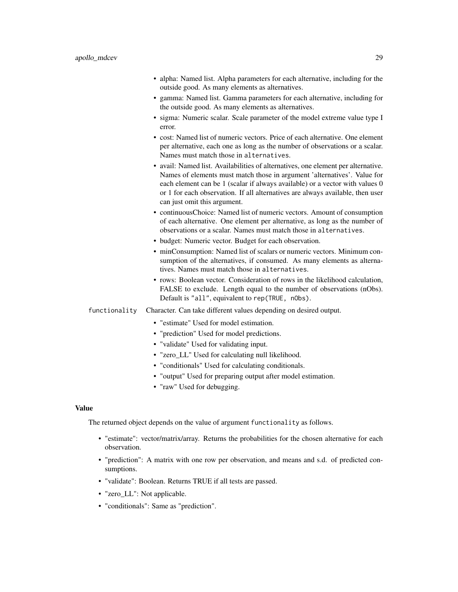- alpha: Named list. Alpha parameters for each alternative, including for the outside good. As many elements as alternatives.
- gamma: Named list. Gamma parameters for each alternative, including for the outside good. As many elements as alternatives.
- sigma: Numeric scalar. Scale parameter of the model extreme value type I error.
- cost: Named list of numeric vectors. Price of each alternative. One element per alternative, each one as long as the number of observations or a scalar. Names must match those in alternatives.
- avail: Named list. Availabilities of alternatives, one element per alternative. Names of elements must match those in argument 'alternatives'. Value for each element can be 1 (scalar if always available) or a vector with values 0 or 1 for each observation. If all alternatives are always available, then user can just omit this argument.
- continuousChoice: Named list of numeric vectors. Amount of consumption of each alternative. One element per alternative, as long as the number of observations or a scalar. Names must match those in alternatives.
- budget: Numeric vector. Budget for each observation.
- minConsumption: Named list of scalars or numeric vectors. Minimum consumption of the alternatives, if consumed. As many elements as alternatives. Names must match those in alternatives.
- rows: Boolean vector. Consideration of rows in the likelihood calculation, FALSE to exclude. Length equal to the number of observations (nObs). Default is "all", equivalent to rep(TRUE, nObs).
- functionality Character. Can take different values depending on desired output.
	- "estimate" Used for model estimation.
	- "prediction" Used for model predictions.
	- "validate" Used for validating input.
	- "zero LL" Used for calculating null likelihood.
	- "conditionals" Used for calculating conditionals.
	- "output" Used for preparing output after model estimation.
	- "raw" Used for debugging.

#### Value

The returned object depends on the value of argument functionality as follows.

- "estimate": vector/matrix/array. Returns the probabilities for the chosen alternative for each observation.
- "prediction": A matrix with one row per observation, and means and s.d. of predicted consumptions.
- "validate": Boolean. Returns TRUE if all tests are passed.
- "zero\_LL": Not applicable.
- "conditionals": Same as "prediction".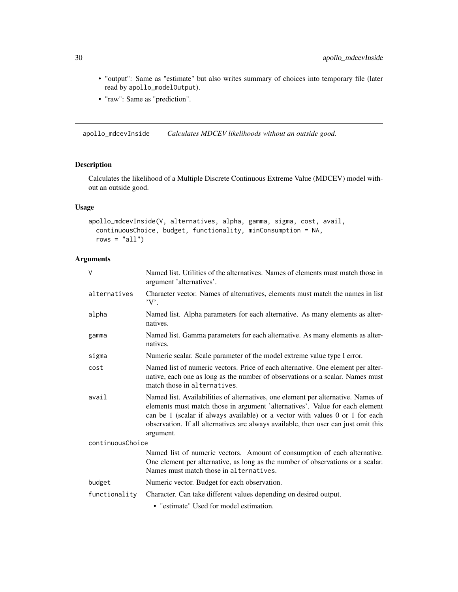- "output": Same as "estimate" but also writes summary of choices into temporary file (later read by apollo\_modelOutput).
- "raw": Same as "prediction".

apollo\_mdcevInside *Calculates MDCEV likelihoods without an outside good.*

## Description

Calculates the likelihood of a Multiple Discrete Continuous Extreme Value (MDCEV) model without an outside good.

#### Usage

```
apollo_mdcevInside(V, alternatives, alpha, gamma, sigma, cost, avail,
 continuousChoice, budget, functionality, minConsumption = NA,
 rows = "all")
```
## Arguments

| $\vee$           | Named list. Utilities of the alternatives. Names of elements must match those in<br>argument 'alternatives'.                                                                                                                                                                                                                                           |  |
|------------------|--------------------------------------------------------------------------------------------------------------------------------------------------------------------------------------------------------------------------------------------------------------------------------------------------------------------------------------------------------|--|
| alternatives     | Character vector. Names of alternatives, elements must match the names in list<br>$'V'$ .                                                                                                                                                                                                                                                              |  |
| alpha            | Named list. Alpha parameters for each alternative. As many elements as alter-<br>natives.                                                                                                                                                                                                                                                              |  |
| gamma            | Named list. Gamma parameters for each alternative. As many elements as alter-<br>natives.                                                                                                                                                                                                                                                              |  |
| sigma            | Numeric scalar. Scale parameter of the model extreme value type I error.                                                                                                                                                                                                                                                                               |  |
| cost             | Named list of numeric vectors. Price of each alternative. One element per alter-<br>native, each one as long as the number of observations or a scalar. Names must<br>match those in alternatives.                                                                                                                                                     |  |
| avail            | Named list. Availabilities of alternatives, one element per alternative. Names of<br>elements must match those in argument 'alternatives'. Value for each element<br>can be 1 (scalar if always available) or a vector with values 0 or 1 for each<br>observation. If all alternatives are always available, then user can just omit this<br>argument. |  |
| continuousChoice |                                                                                                                                                                                                                                                                                                                                                        |  |
|                  | Named list of numeric vectors. Amount of consumption of each alternative.<br>One element per alternative, as long as the number of observations or a scalar.<br>Names must match those in alternatives.                                                                                                                                                |  |
| budget           | Numeric vector. Budget for each observation.                                                                                                                                                                                                                                                                                                           |  |
| functionality    | Character. Can take different values depending on desired output.                                                                                                                                                                                                                                                                                      |  |
|                  | • "estimate" Used for model estimation.                                                                                                                                                                                                                                                                                                                |  |

<span id="page-29-0"></span>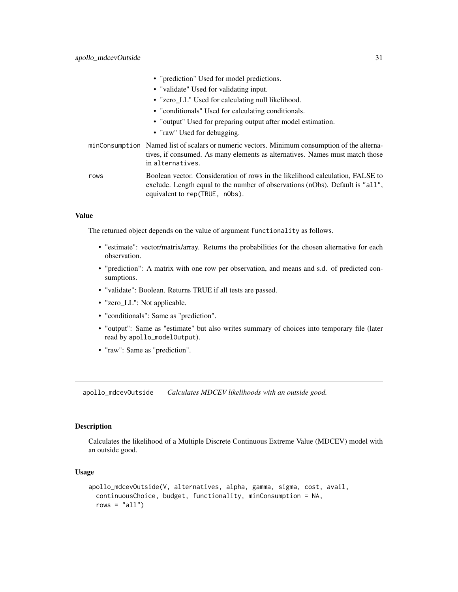<span id="page-30-0"></span>

|      | • "prediction" Used for model predictions.                                                                                                                                                        |
|------|---------------------------------------------------------------------------------------------------------------------------------------------------------------------------------------------------|
|      | • "validate" Used for validating input.                                                                                                                                                           |
|      | • "zero_LL" Used for calculating null likelihood.                                                                                                                                                 |
|      | • "conditionals" Used for calculating conditionals.                                                                                                                                               |
|      | • "output" Used for preparing output after model estimation.                                                                                                                                      |
|      | • "raw" Used for debugging.                                                                                                                                                                       |
|      | minConsumption Named list of scalars or numeric vectors. Minimum consumption of the alterna-<br>tives, if consumed. As many elements as alternatives. Names must match those<br>in alternatives.  |
| rows | Boolean vector. Consideration of rows in the likelihood calculation, FALSE to<br>exclude. Length equal to the number of observations (nObs). Default is "all",<br>equivalent to rep (TRUE, n0bs). |

## Value

The returned object depends on the value of argument functionality as follows.

- "estimate": vector/matrix/array. Returns the probabilities for the chosen alternative for each observation.
- "prediction": A matrix with one row per observation, and means and s.d. of predicted consumptions.
- "validate": Boolean. Returns TRUE if all tests are passed.
- "zero\_LL": Not applicable.
- "conditionals": Same as "prediction".
- "output": Same as "estimate" but also writes summary of choices into temporary file (later read by apollo\_modelOutput).
- "raw": Same as "prediction".

apollo\_mdcevOutside *Calculates MDCEV likelihoods with an outside good.*

#### Description

Calculates the likelihood of a Multiple Discrete Continuous Extreme Value (MDCEV) model with an outside good.

## Usage

```
apollo_mdcevOutside(V, alternatives, alpha, gamma, sigma, cost, avail,
 continuousChoice, budget, functionality, minConsumption = NA,
 rows = "all")
```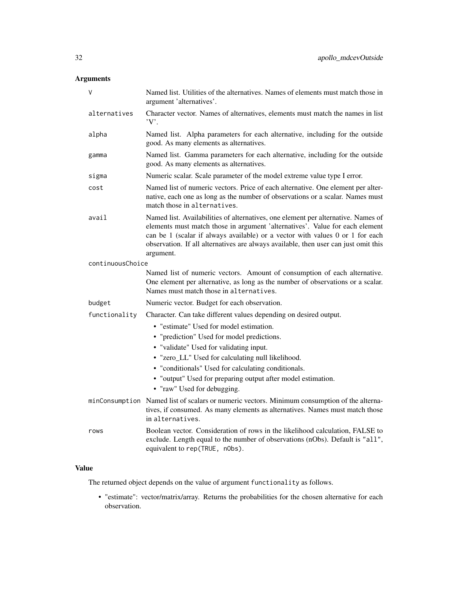## Arguments

| ٧                | Named list. Utilities of the alternatives. Names of elements must match those in<br>argument 'alternatives'.                                                                                                                                                                                                                                           |  |
|------------------|--------------------------------------------------------------------------------------------------------------------------------------------------------------------------------------------------------------------------------------------------------------------------------------------------------------------------------------------------------|--|
| alternatives     | Character vector. Names of alternatives, elements must match the names in list<br>'V'.                                                                                                                                                                                                                                                                 |  |
| alpha            | Named list. Alpha parameters for each alternative, including for the outside<br>good. As many elements as alternatives.                                                                                                                                                                                                                                |  |
| gamma            | Named list. Gamma parameters for each alternative, including for the outside<br>good. As many elements as alternatives.                                                                                                                                                                                                                                |  |
| sigma            | Numeric scalar. Scale parameter of the model extreme value type I error.                                                                                                                                                                                                                                                                               |  |
| cost             | Named list of numeric vectors. Price of each alternative. One element per alter-<br>native, each one as long as the number of observations or a scalar. Names must<br>match those in alternatives.                                                                                                                                                     |  |
| avail            | Named list. Availabilities of alternatives, one element per alternative. Names of<br>elements must match those in argument 'alternatives'. Value for each element<br>can be 1 (scalar if always available) or a vector with values 0 or 1 for each<br>observation. If all alternatives are always available, then user can just omit this<br>argument. |  |
| continuousChoice |                                                                                                                                                                                                                                                                                                                                                        |  |
|                  | Named list of numeric vectors. Amount of consumption of each alternative.<br>One element per alternative, as long as the number of observations or a scalar.<br>Names must match those in alternatives.                                                                                                                                                |  |
| budget           | Numeric vector. Budget for each observation.                                                                                                                                                                                                                                                                                                           |  |
| functionality    | Character. Can take different values depending on desired output.                                                                                                                                                                                                                                                                                      |  |
|                  | • "estimate" Used for model estimation.                                                                                                                                                                                                                                                                                                                |  |
|                  | • "prediction" Used for model predictions.                                                                                                                                                                                                                                                                                                             |  |
|                  | • "validate" Used for validating input.                                                                                                                                                                                                                                                                                                                |  |
|                  | • "zero_LL" Used for calculating null likelihood.                                                                                                                                                                                                                                                                                                      |  |
|                  | • "conditionals" Used for calculating conditionals.                                                                                                                                                                                                                                                                                                    |  |
|                  | • "output" Used for preparing output after model estimation.<br>• "raw" Used for debugging.                                                                                                                                                                                                                                                            |  |
| minConsumption   | Named list of scalars or numeric vectors. Minimum consumption of the alterna-<br>tives, if consumed. As many elements as alternatives. Names must match those<br>in alternatives.                                                                                                                                                                      |  |
| rows             | Boolean vector. Consideration of rows in the likelihood calculation, FALSE to<br>exclude. Length equal to the number of observations (nObs). Default is "all",<br>equivalent to rep(TRUE, nObs).                                                                                                                                                       |  |

## Value

The returned object depends on the value of argument functionality as follows.

• "estimate": vector/matrix/array. Returns the probabilities for the chosen alternative for each observation.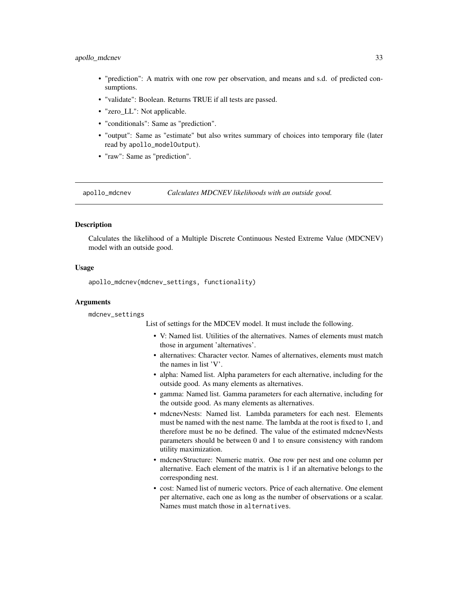#### <span id="page-32-0"></span>apollo\_mdcnev 33

- "prediction": A matrix with one row per observation, and means and s.d. of predicted consumptions.
- "validate": Boolean. Returns TRUE if all tests are passed.
- "zero\_LL": Not applicable.
- "conditionals": Same as "prediction".
- "output": Same as "estimate" but also writes summary of choices into temporary file (later read by apollo\_modelOutput).
- "raw": Same as "prediction".

apollo\_mdcnev *Calculates MDCNEV likelihoods with an outside good.*

#### **Description**

Calculates the likelihood of a Multiple Discrete Continuous Nested Extreme Value (MDCNEV) model with an outside good.

#### Usage

apollo\_mdcnev(mdcnev\_settings, functionality)

#### Arguments

mdcnev\_settings

List of settings for the MDCEV model. It must include the following.

- V: Named list. Utilities of the alternatives. Names of elements must match those in argument 'alternatives'.
- alternatives: Character vector. Names of alternatives, elements must match the names in list 'V'.
- alpha: Named list. Alpha parameters for each alternative, including for the outside good. As many elements as alternatives.
- gamma: Named list. Gamma parameters for each alternative, including for the outside good. As many elements as alternatives.
- mdcnevNests: Named list. Lambda parameters for each nest. Elements must be named with the nest name. The lambda at the root is fixed to 1, and therefore must be no be defined. The value of the estimated mdcnevNests parameters should be between 0 and 1 to ensure consistency with random utility maximization.
- mdcnevStructure: Numeric matrix. One row per nest and one column per alternative. Each element of the matrix is 1 if an alternative belongs to the corresponding nest.
- cost: Named list of numeric vectors. Price of each alternative. One element per alternative, each one as long as the number of observations or a scalar. Names must match those in alternatives.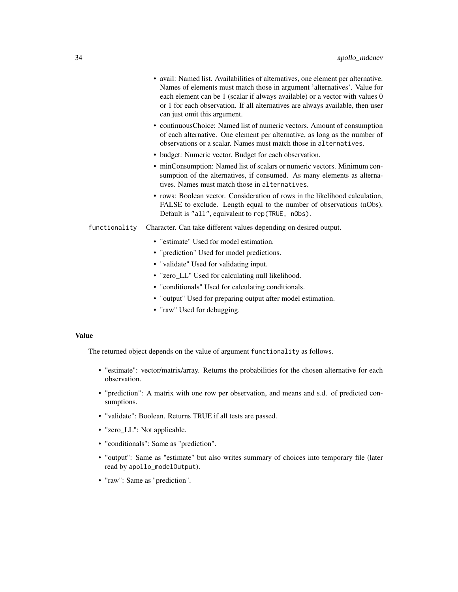- avail: Named list. Availabilities of alternatives, one element per alternative. Names of elements must match those in argument 'alternatives'. Value for each element can be 1 (scalar if always available) or a vector with values 0 or 1 for each observation. If all alternatives are always available, then user can just omit this argument.
- continuousChoice: Named list of numeric vectors. Amount of consumption of each alternative. One element per alternative, as long as the number of observations or a scalar. Names must match those in alternatives.
- budget: Numeric vector. Budget for each observation.
- minConsumption: Named list of scalars or numeric vectors. Minimum consumption of the alternatives, if consumed. As many elements as alternatives. Names must match those in alternatives.
- rows: Boolean vector. Consideration of rows in the likelihood calculation, FALSE to exclude. Length equal to the number of observations (nObs). Default is "all", equivalent to rep(TRUE, nObs).
- functionality Character. Can take different values depending on desired output.
	- "estimate" Used for model estimation.
	- "prediction" Used for model predictions.
	- "validate" Used for validating input.
	- "zero\_LL" Used for calculating null likelihood.
	- "conditionals" Used for calculating conditionals.
	- "output" Used for preparing output after model estimation.
	- "raw" Used for debugging.

#### Value

The returned object depends on the value of argument functionality as follows.

- "estimate": vector/matrix/array. Returns the probabilities for the chosen alternative for each observation.
- "prediction": A matrix with one row per observation, and means and s.d. of predicted consumptions.
- "validate": Boolean. Returns TRUE if all tests are passed.
- "zero\_LL": Not applicable.
- "conditionals": Same as "prediction".
- "output": Same as "estimate" but also writes summary of choices into temporary file (later read by apollo\_modelOutput).
- "raw": Same as "prediction".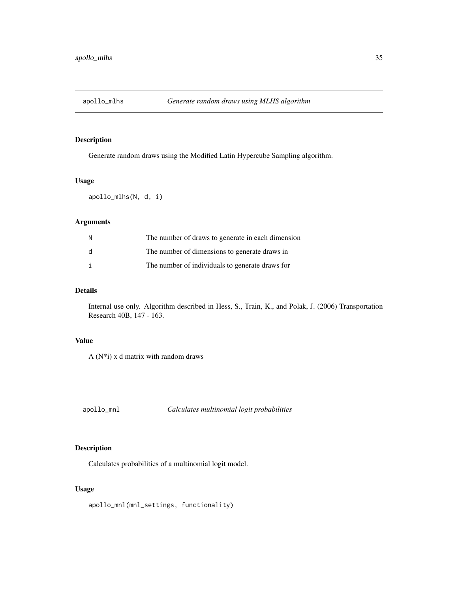<span id="page-34-0"></span>

Generate random draws using the Modified Latin Hypercube Sampling algorithm.

## Usage

apollo\_mlhs(N, d, i)

## Arguments

| N            | The number of draws to generate in each dimension |
|--------------|---------------------------------------------------|
| <sub>d</sub> | The number of dimensions to generate draws in     |
| i            | The number of individuals to generate draws for   |

## Details

Internal use only. Algorithm described in Hess, S., Train, K., and Polak, J. (2006) Transportation Research 40B, 147 - 163.

## Value

A  $(N^*i)$  x d matrix with random draws

apollo\_mnl *Calculates multinomial logit probabilities*

## Description

Calculates probabilities of a multinomial logit model.

## Usage

apollo\_mnl(mnl\_settings, functionality)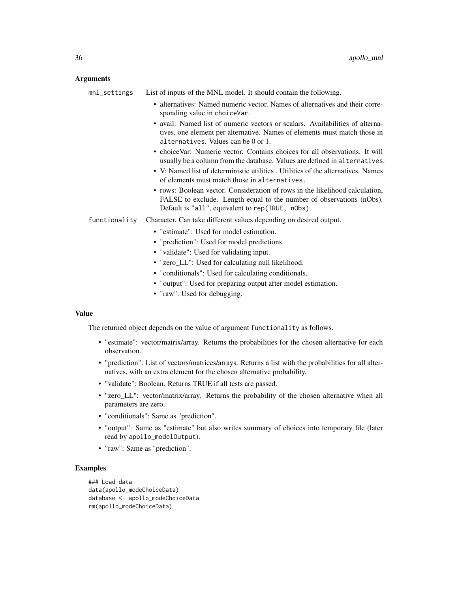## Arguments

| List of inputs of the MNL model. It should contain the following.                                                                                                                                                                                                                                                 |
|-------------------------------------------------------------------------------------------------------------------------------------------------------------------------------------------------------------------------------------------------------------------------------------------------------------------|
| • alternatives: Named numeric vector. Names of alternatives and their corre-<br>sponding value in choiceVar.<br>• avail: Named list of numeric vectors or scalars. Availabilities of alterna-<br>tives, one element per alternative. Names of elements must match those in<br>alternatives. Values can be 0 or 1. |
| • choiceVar: Numeric vector. Contains choices for all observations. It will<br>usually be a column from the database. Values are defined in alternatives.                                                                                                                                                         |
| • V: Named list of deterministic utilities . Utilities of the alternatives. Names<br>of elements must match those in alternatives.                                                                                                                                                                                |
| • rows: Boolean vector. Consideration of rows in the likelihood calculation,<br>FALSE to exclude. Length equal to the number of observations (nObs).<br>Default is "all", equivalent to rep(TRUE, n0bs).                                                                                                          |
| Character. Can take different values depending on desired output.                                                                                                                                                                                                                                                 |
| • "estimate": Used for model estimation.                                                                                                                                                                                                                                                                          |
| • "prediction": Used for model predictions.                                                                                                                                                                                                                                                                       |
| • "validate": Used for validating input.                                                                                                                                                                                                                                                                          |
| • "zero_LL": Used for calculating null likelihood.                                                                                                                                                                                                                                                                |
| • "conditionals": Used for calculating conditionals.                                                                                                                                                                                                                                                              |
| • "output": Used for preparing output after model estimation.                                                                                                                                                                                                                                                     |
|                                                                                                                                                                                                                                                                                                                   |

• "raw": Used for debugging.

## Value

The returned object depends on the value of argument functionality as follows.

- "estimate": vector/matrix/array. Returns the probabilities for the chosen alternative for each observation.
- "prediction": List of vectors/matrices/arrays. Returns a list with the probabilities for all alternatives, with an extra element for the chosen alternative probability.
- "validate": Boolean. Returns TRUE if all tests are passed.
- "zero\_LL": vector/matrix/array. Returns the probability of the chosen alternative when all parameters are zero.
- "conditionals": Same as "prediction".
- "output": Same as "estimate" but also writes summary of choices into temporary file (later read by apollo\_modelOutput).
- "raw": Same as "prediction".

## Examples

```
### Load data
data(apollo_modeChoiceData)
database <- apollo_modeChoiceData
rm(apollo_modeChoiceData)
```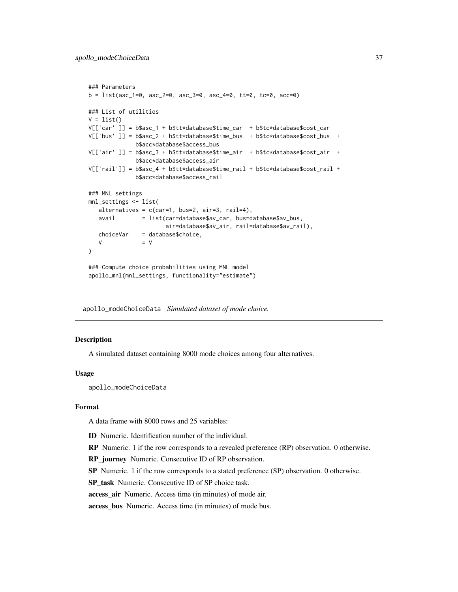```
### Parameters
b = list(asc_1=0, asc_2=0, asc_3=0, asc_4=0, tt=0, tc=0, acc=0)
### List of utilities
V = list()V[['car' ]] = b$asc_1 + b$tt*database$time_car + b$tc*database$cost_car
V[['bus' ]] = b$asc_2 + b$tt*database$time_bus + b$tc*database$cost_bus +
             b$acc*database$access_bus
V[['air' ]] = b$asc_3 + b$tt*database$time_air + b$tc*database$cost_air +
             b$acc*database$access_air
V[['rail']] = b$asc_4 + b$tt*database$time_rail + b$tc*database$cost_rail +
             b$acc*database$access_rail
### MNL settings
mnl_settings <- list(
   alternatives = c(car=1, bus=2, air=3, rail=4),
  avail = list(car=database$av_car, bus=database$av_bus,
                      air=database$av_air, rail=database$av_rail),
   choiceVar = database$choice,
  V = V\lambda### Compute choice probabilities using MNL model
apollo_mnl(mnl_settings, functionality="estimate")
```
apollo\_modeChoiceData *Simulated dataset of mode choice.*

#### **Description**

A simulated dataset containing 8000 mode choices among four alternatives.

#### Usage

apollo\_modeChoiceData

#### Format

A data frame with 8000 rows and 25 variables:

ID Numeric. Identification number of the individual.

RP Numeric. 1 if the row corresponds to a revealed preference (RP) observation. 0 otherwise.

RP\_journey Numeric. Consecutive ID of RP observation.

SP Numeric. 1 if the row corresponds to a stated preference (SP) observation. 0 otherwise.

SP task Numeric. Consecutive ID of SP choice task.

access air Numeric. Access time (in minutes) of mode air.

access\_bus Numeric. Access time (in minutes) of mode bus.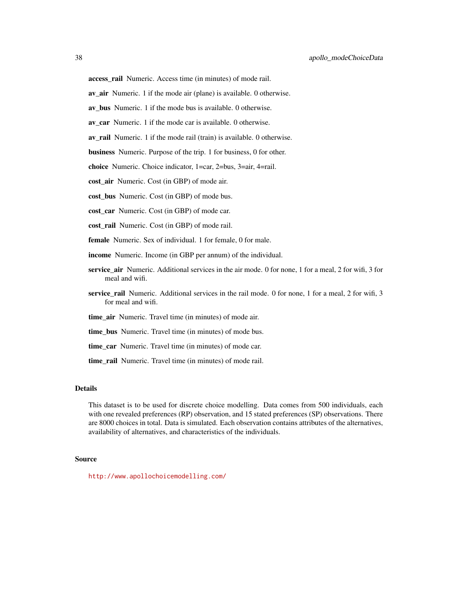av\_air Numeric. 1 if the mode air (plane) is available. 0 otherwise.

av bus Numeric. 1 if the mode bus is available. 0 otherwise.

av car Numeric. 1 if the mode car is available. 0 otherwise.

av\_rail Numeric. 1 if the mode rail (train) is available. 0 otherwise.

business Numeric. Purpose of the trip. 1 for business, 0 for other.

choice Numeric. Choice indicator, 1=car, 2=bus, 3=air, 4=rail.

cost air Numeric. Cost (in GBP) of mode air.

cost\_bus Numeric. Cost (in GBP) of mode bus.

cost car Numeric. Cost (in GBP) of mode car.

cost\_rail Numeric. Cost (in GBP) of mode rail.

female Numeric. Sex of individual. 1 for female, 0 for male.

- income Numeric. Income (in GBP per annum) of the individual.
- service\_air Numeric. Additional services in the air mode. 0 for none, 1 for a meal, 2 for wifi, 3 for meal and wifi.
- service rail Numeric. Additional services in the rail mode. 0 for none, 1 for a meal, 2 for wifi, 3 for meal and wifi.
- time\_air Numeric. Travel time (in minutes) of mode air.

time\_bus Numeric. Travel time (in minutes) of mode bus.

time\_car\_Numeric. Travel time (in minutes) of mode car.

time rail Numeric. Travel time (in minutes) of mode rail.

#### Details

This dataset is to be used for discrete choice modelling. Data comes from 500 individuals, each with one revealed preferences (RP) observation, and 15 stated preferences (SP) observations. There are 8000 choices in total. Data is simulated. Each observation contains attributes of the alternatives, availability of alternatives, and characteristics of the individuals.

#### Source

<http://www.apollochoicemodelling.com/>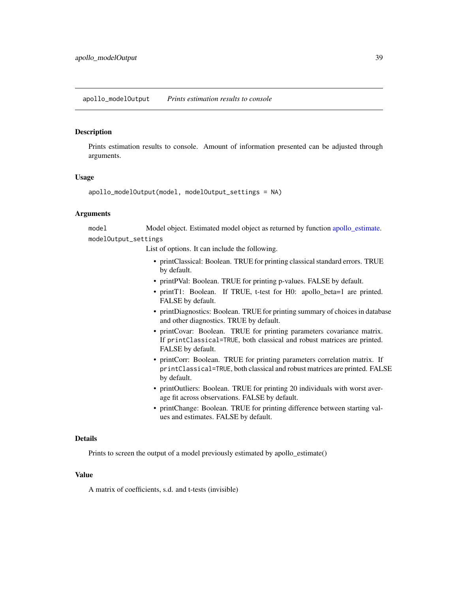<span id="page-38-0"></span>Prints estimation results to console. Amount of information presented can be adjusted through arguments.

#### Usage

```
apollo_modelOutput(model, modelOutput_settings = NA)
```
## Arguments

model Model object. Estimated model object as returned by function [apollo\\_estimate.](#page-16-1) modelOutput\_settings

List of options. It can include the following.

- printClassical: Boolean. TRUE for printing classical standard errors. TRUE by default.
- printPVal: Boolean. TRUE for printing p-values. FALSE by default.
- printT1: Boolean. If TRUE, t-test for H0: apollo\_beta=1 are printed. FALSE by default.
- printDiagnostics: Boolean. TRUE for printing summary of choices in database and other diagnostics. TRUE by default.
- printCovar: Boolean. TRUE for printing parameters covariance matrix. If printClassical=TRUE, both classical and robust matrices are printed. FALSE by default.
- printCorr: Boolean. TRUE for printing parameters correlation matrix. If printClassical=TRUE, both classical and robust matrices are printed. FALSE by default.
- printOutliers: Boolean. TRUE for printing 20 individuals with worst average fit across observations. FALSE by default.
- printChange: Boolean. TRUE for printing difference between starting values and estimates. FALSE by default.

#### Details

Prints to screen the output of a model previously estimated by apollo estimate()

#### Value

A matrix of coefficients, s.d. and t-tests (invisible)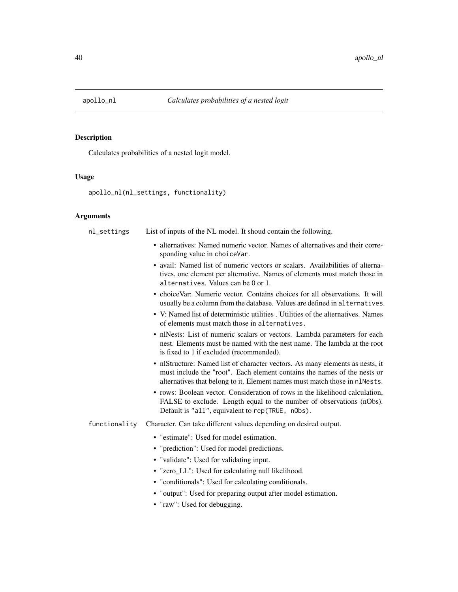<span id="page-39-0"></span>

Calculates probabilities of a nested logit model.

#### Usage

```
apollo_nl(nl_settings, functionality)
```
## Arguments

nl\_settings List of inputs of the NL model. It shoud contain the following. • alternatives: Named numeric vector. Names of alternatives and their corresponding value in choiceVar. • avail: Named list of numeric vectors or scalars. Availabilities of alternatives, one element per alternative. Names of elements must match those in alternatives. Values can be 0 or 1. • choiceVar: Numeric vector. Contains choices for all observations. It will usually be a column from the database. Values are defined in alternatives. • V: Named list of deterministic utilities . Utilities of the alternatives. Names of elements must match those in alternatives. • nlNests: List of numeric scalars or vectors. Lambda parameters for each nest. Elements must be named with the nest name. The lambda at the root is fixed to 1 if excluded (recommended). • nlStructure: Named list of character vectors. As many elements as nests, it must include the "root". Each element contains the names of the nests or alternatives that belong to it. Element names must match those in nlNests. • rows: Boolean vector. Consideration of rows in the likelihood calculation, FALSE to exclude. Length equal to the number of observations (nObs). Default is "all", equivalent to rep(TRUE, nObs). functionality Character. Can take different values depending on desired output. • "estimate": Used for model estimation. • "prediction": Used for model predictions. • "validate": Used for validating input. • "zero LL": Used for calculating null likelihood. • "conditionals": Used for calculating conditionals. • "output": Used for preparing output after model estimation. • "raw": Used for debugging.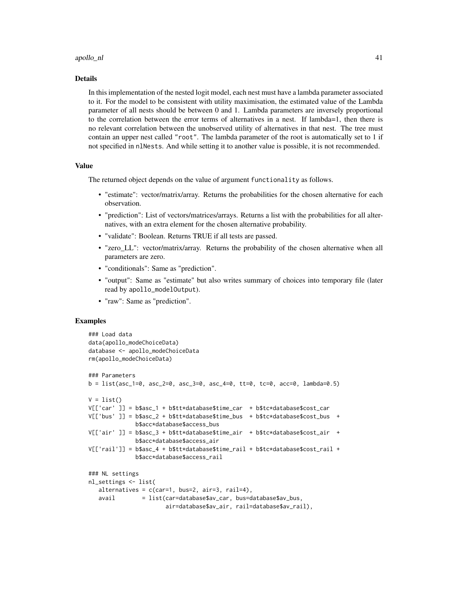#### apollo\_nl 41

#### Details

In this implementation of the nested logit model, each nest must have a lambda parameter associated to it. For the model to be consistent with utility maximisation, the estimated value of the Lambda parameter of all nests should be between 0 and 1. Lambda parameters are inversely proportional to the correlation between the error terms of alternatives in a nest. If lambda=1, then there is no relevant correlation between the unobserved utility of alternatives in that nest. The tree must contain an upper nest called "root". The lambda parameter of the root is automatically set to 1 if not specified in nlNests. And while setting it to another value is possible, it is not recommended.

#### Value

The returned object depends on the value of argument functionality as follows.

- "estimate": vector/matrix/array. Returns the probabilities for the chosen alternative for each observation.
- "prediction": List of vectors/matrices/arrays. Returns a list with the probabilities for all alternatives, with an extra element for the chosen alternative probability.
- "validate": Boolean. Returns TRUE if all tests are passed.
- "zero LL": vector/matrix/array. Returns the probability of the chosen alternative when all parameters are zero.
- "conditionals": Same as "prediction".
- "output": Same as "estimate" but also writes summary of choices into temporary file (later read by apollo\_modelOutput).
- "raw": Same as "prediction".

#### Examples

```
### Load data
data(apollo_modeChoiceData)
database <- apollo_modeChoiceData
rm(apollo_modeChoiceData)
### Parameters
b = list(asc_1=0, asc_2=0, asc_3=0, asc_4=0, tt=0, tc=0, acc=0, lambda=0.5)V = list()V[['car' ]] = b$asc_1 + b$tt*database$time_car + b$tc*database$cost_car
V[['bus' ]] = b$asc_2 + b$tt*database$time_bus + b$tc*database$cost_bus +
             b$acc*database$access_bus
V[['air' ]] = b$asc_3 + b$tt*database$time_air + b$tc*database$cost_air +
             b$acc*database$access_air
V[['rail']] = b$asc_4 + b$tt*database$time_rail + b$tc*database$cost_rail +
             b$acc*database$access_rail
### NL settings
nl_settings <- list(
  alternatives = c(car=1, bus=2, air=3, rail=4),
  avail = list(car=database$av_car, bus=database$av_bus,
                      air=database$av_air, rail=database$av_rail),
```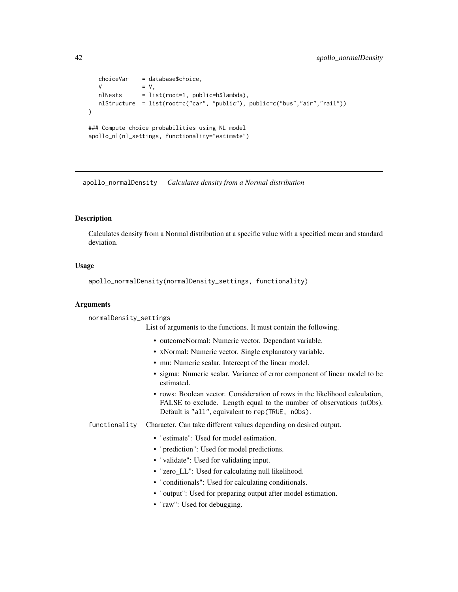```
choiceVar = database$choice,
  V = V,
  nlNests = list(root=1, public=b$lambda),
  nlStructure = list(root=c("car", "public"), public=c("bus","air","rail"))
)
### Compute choice probabilities using NL model
apollo_nl(nl_settings, functionality="estimate")
```
apollo\_normalDensity *Calculates density from a Normal distribution*

## **Description**

Calculates density from a Normal distribution at a specific value with a specified mean and standard deviation.

#### Usage

apollo\_normalDensity(normalDensity\_settings, functionality)

## Arguments

normalDensity\_settings

List of arguments to the functions. It must contain the following.

- outcomeNormal: Numeric vector. Dependant variable.
- xNormal: Numeric vector. Single explanatory variable.
- mu: Numeric scalar. Intercept of the linear model.
- sigma: Numeric scalar. Variance of error component of linear model to be estimated.
- rows: Boolean vector. Consideration of rows in the likelihood calculation, FALSE to exclude. Length equal to the number of observations (nObs). Default is "all", equivalent to rep(TRUE, nObs).
- functionality Character. Can take different values depending on desired output.
	- "estimate": Used for model estimation.
	- "prediction": Used for model predictions.
	- "validate": Used for validating input.
	- "zero LL": Used for calculating null likelihood.
	- "conditionals": Used for calculating conditionals.
	- "output": Used for preparing output after model estimation.
	- "raw": Used for debugging.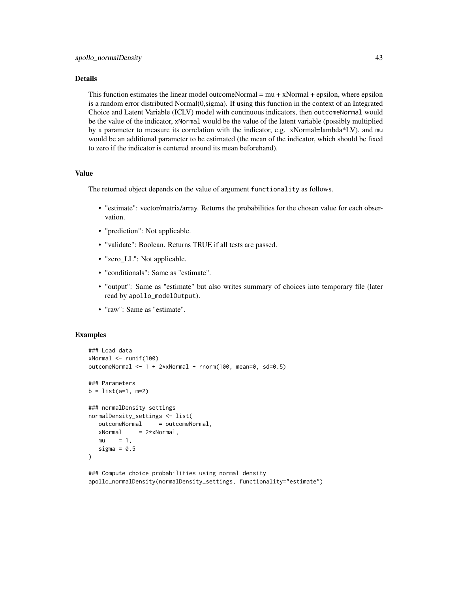## Details

This function estimates the linear model outcomeNormal =  $mu + xNormal + epsilon$ , where epsilon is a random error distributed Normal(0,sigma). If using this function in the context of an Integrated Choice and Latent Variable (ICLV) model with continuous indicators, then outcomeNormal would be the value of the indicator, xNormal would be the value of the latent variable (possibly multiplied by a parameter to measure its correlation with the indicator, e.g. xNormal=lambda\*LV), and mu would be an additional parameter to be estimated (the mean of the indicator, which should be fixed to zero if the indicator is centered around its mean beforehand).

#### Value

The returned object depends on the value of argument functionality as follows.

- "estimate": vector/matrix/array. Returns the probabilities for the chosen value for each observation.
- "prediction": Not applicable.
- "validate": Boolean. Returns TRUE if all tests are passed.
- "zero\_LL": Not applicable.
- "conditionals": Same as "estimate".
- "output": Same as "estimate" but also writes summary of choices into temporary file (later read by apollo\_modelOutput).
- "raw": Same as "estimate".

#### Examples

```
### Load data
xNormal <- runif(100)
outcomeNormal <- 1 + 2*xNormal + rnorm(100, mean=0, sd=0.5)
### Parameters
b = list(a=1, m=2)### normalDensity settings
normalDensity_settings <- list(
  outcomeNormal = outcomeNormal,
  xNormal = 2* xNormal,mu = 1,
  sigma = 0.5)
### Compute choice probabilities using normal density
```

```
apollo_normalDensity(normalDensity_settings, functionality="estimate")
```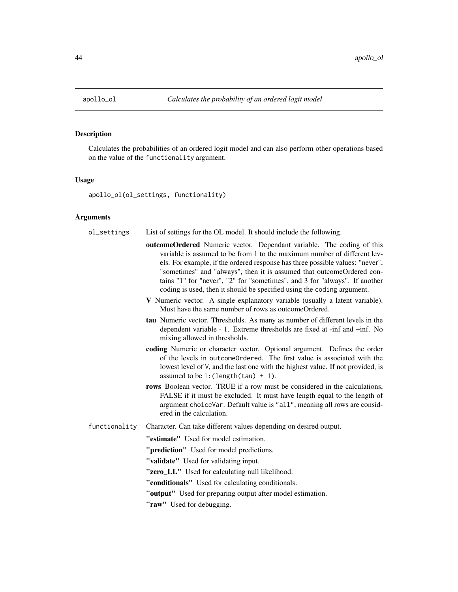<span id="page-43-0"></span>

Calculates the probabilities of an ordered logit model and can also perform other operations based on the value of the functionality argument.

#### Usage

apollo\_ol(ol\_settings, functionality)

## **Arguments**

| ol_settings | List of settings for the OL model. It should include the following. |  |
|-------------|---------------------------------------------------------------------|--|
|-------------|---------------------------------------------------------------------|--|

- outcomeOrdered Numeric vector. Dependant variable. The coding of this variable is assumed to be from 1 to the maximum number of different levels. For example, if the ordered response has three possible values: "never", "sometimes" and "always", then it is assumed that outcomeOrdered contains "1" for "never", "2" for "sometimes", and 3 for "always". If another coding is used, then it should be specified using the coding argument.
- V Numeric vector. A single explanatory variable (usually a latent variable). Must have the same number of rows as outcomeOrdered.
- tau Numeric vector. Thresholds. As many as number of different levels in the dependent variable - 1. Extreme thresholds are fixed at -inf and +inf. No mixing allowed in thresholds.
- coding Numeric or character vector. Optional argument. Defines the order of the levels in outcomeOrdered. The first value is associated with the lowest level of V, and the last one with the highest value. If not provided, is assumed to be 1:(length(tau) + 1).
- rows Boolean vector. TRUE if a row must be considered in the calculations, FALSE if it must be excluded. It must have length equal to the length of argument choiceVar. Default value is "all", meaning all rows are considered in the calculation.
- functionality Character. Can take different values depending on desired output.

"estimate" Used for model estimation.

"**prediction**" Used for model predictions.

"validate" Used for validating input.

- "zero\_LL" Used for calculating null likelihood.
- "conditionals" Used for calculating conditionals.
- "output" Used for preparing output after model estimation.
- "raw" Used for debugging.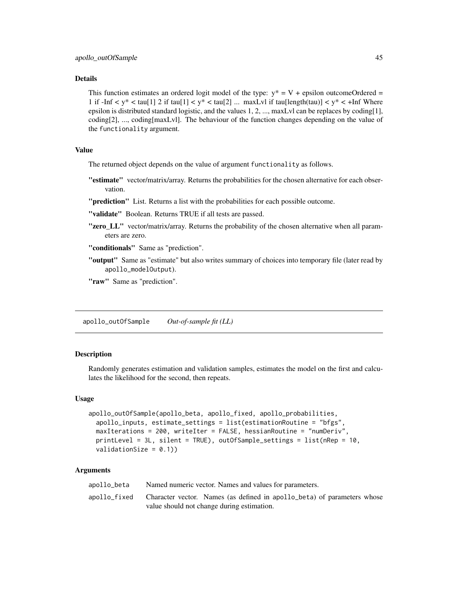## <span id="page-44-0"></span>Details

This function estimates an ordered logit model of the type:  $y^* = V +$  epsilon outcomeOrdered = 1 if  $-\text{Inf} < y^* < \tan[1] \cdot 2$  if  $\tan[1] < y^* < \tan[2] \dots$  maxLvl if  $\tan[\text{length(tau)}] < y^* < \text{Inf}$  Where epsilon is distributed standard logistic, and the values 1, 2, ..., maxLvl can be replaces by coding[1], coding[2], ..., coding[maxLvl]. The behaviour of the function changes depending on the value of the functionality argument.

#### Value

The returned object depends on the value of argument functionality as follows.

"estimate" vector/matrix/array. Returns the probabilities for the chosen alternative for each observation.

"**prediction**" List. Returns a list with the probabilities for each possible outcome.

"validate" Boolean. Returns TRUE if all tests are passed.

"zero\_LL" vector/matrix/array. Returns the probability of the chosen alternative when all parameters are zero.

"conditionals" Same as "prediction".

"output" Same as "estimate" but also writes summary of choices into temporary file (later read by apollo\_modelOutput).

"raw" Same as "prediction".

apollo\_outOfSample *Out-of-sample fit (LL)*

## **Description**

Randomly generates estimation and validation samples, estimates the model on the first and calculates the likelihood for the second, then repeats.

#### Usage

```
apollo_outOfSample(apollo_beta, apollo_fixed, apollo_probabilities,
  apollo_inputs, estimate_settings = list(estimationRoutine = "bfgs",
 maxIterations = 200, writeIter = FALSE, hessianRoutine = "numDeriv",
 printLevel = 3L, silent = TRUE), outOfSample_settings = list(nRep = 10,
  validationSize = (0.1))
```
#### **Arguments**

| apollo_beta  | Named numeric vector. Names and values for parameters.                  |
|--------------|-------------------------------------------------------------------------|
| apollo fixed | Character vector. Names (as defined in apollo_beta) of parameters whose |
|              | value should not change during estimation.                              |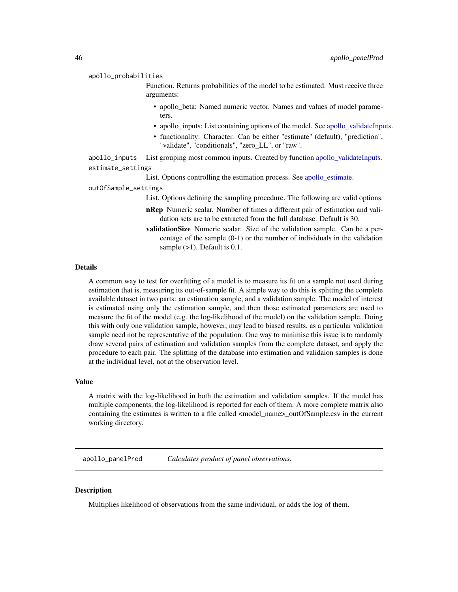<span id="page-45-0"></span>apollo\_probabilities

Function. Returns probabilities of the model to be estimated. Must receive three arguments:

- apollo\_beta: Named numeric vector. Names and values of model parameters.
- apollo inputs: List containing options of the model. See apollo validateInputs.
- functionality: Character. Can be either "estimate" (default), "prediction", "validate", "conditionals", "zero\_LL", or "raw".

apollo\_inputs List grouping most common inputs. Created by function [apollo\\_validateInputs.](#page-60-1) estimate\_settings

List. Options controlling the estimation process. See apollo estimate.

outOfSample\_settings

List. Options defining the sampling procedure. The following are valid options.

- nRep Numeric scalar. Number of times a different pair of estimation and validation sets are to be extracted from the full database. Default is 30.
- validationSize Numeric scalar. Size of the validation sample. Can be a percentage of the sample (0-1) or the number of individuals in the validation sample  $(>1)$ . Default is 0.1.

#### Details

A common way to test for overfitting of a model is to measure its fit on a sample not used during estimation that is, measuring its out-of-sample fit. A simple way to do this is splitting the complete available dataset in two parts: an estimation sample, and a validation sample. The model of interest is estimated using only the estimation sample, and then those estimated parameters are used to measure the fit of the model (e.g. the log-likelihood of the model) on the validation sample. Doing this with only one validation sample, however, may lead to biased results, as a particular validation sample need not be representative of the population. One way to minimise this issue is to randomly draw several pairs of estimation and validation samples from the complete dataset, and apply the procedure to each pair. The splitting of the database into estimation and validaion samples is done at the individual level, not at the observation level.

## Value

A matrix with the log-likelihood in both the estimation and validation samples. If the model has multiple components, the log-likelihood is reported for each of them. A more complete matrix also containing the estimates is written to a file called <model\_name>\_outOfSample.csv in the current working directory.

apollo\_panelProd *Calculates product of panel observations.*

#### **Description**

Multiplies likelihood of observations from the same individual, or adds the log of them.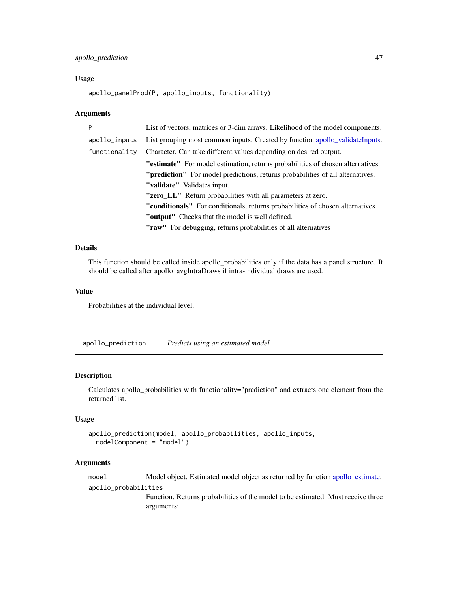## <span id="page-46-0"></span>apollo\_prediction 47

#### Usage

```
apollo_panelProd(P, apollo_inputs, functionality)
```
#### Arguments

| Þ             | List of vectors, matrices or 3-dim arrays. Likelihood of the model components.          |
|---------------|-----------------------------------------------------------------------------------------|
| apollo_inputs | List grouping most common inputs. Created by function apollo_validateInputs.            |
| functionality | Character. Can take different values depending on desired output.                       |
|               | "estimate" For model estimation, returns probabilities of chosen alternatives.          |
|               | " <b>prediction</b> " For model predictions, returns probabilities of all alternatives. |
|               | "validate" Validates input.                                                             |
|               | "zero_LL" Return probabilities with all parameters at zero.                             |
|               | "conditionals" For conditionals, returns probabilities of chosen alternatives.          |
|               | "output" Checks that the model is well defined.                                         |
|               | "raw" For debugging, returns probabilities of all alternatives                          |

## Details

This function should be called inside apollo\_probabilities only if the data has a panel structure. It should be called after apollo\_avgIntraDraws if intra-individual draws are used.

#### Value

Probabilities at the individual level.

apollo\_prediction *Predicts using an estimated model*

## Description

Calculates apollo\_probabilities with functionality="prediction" and extracts one element from the returned list.

## Usage

```
apollo_prediction(model, apollo_probabilities, apollo_inputs,
 modelComponent = "model")
```
### Arguments

model Model object. Estimated model object as returned by function [apollo\\_estimate.](#page-16-1) apollo\_probabilities Function. Returns probabilities of the model to be estimated. Must receive three arguments: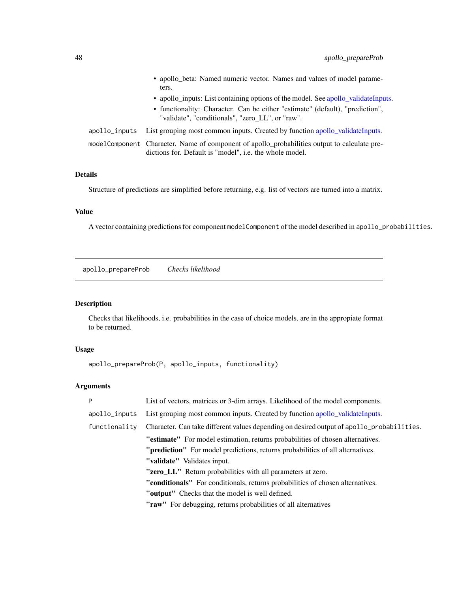<span id="page-47-0"></span>

|  | • apollo_beta: Named numeric vector. Names and values of model parame-<br>ters.                                                                         |
|--|---------------------------------------------------------------------------------------------------------------------------------------------------------|
|  | • apollo inputs: List containing options of the model. See apollo validate Inputs.                                                                      |
|  | • functionality: Character. Can be either "estimate" (default), "prediction",<br>"validate", "conditionals", "zero LL", or "raw".                       |
|  | apollo_inputs List grouping most common inputs. Created by function apollo_validateInputs.                                                              |
|  | modelComponent Character. Name of component of apollo_probabilities output to calculate pre-<br>dictions for. Default is "model", i.e. the whole model. |

## Details

Structure of predictions are simplified before returning, e.g. list of vectors are turned into a matrix.

## Value

A vector containing predictions for component modelComponent of the model described in apollo\_probabilities.

apollo\_prepareProb *Checks likelihood*

## Description

Checks that likelihoods, i.e. probabilities in the case of choice models, are in the appropiate format to be returned.

## Usage

```
apollo_prepareProb(P, apollo_inputs, functionality)
```
## Arguments

| P             | List of vectors, matrices or 3-dim arrays. Likelihood of the model components.            |
|---------------|-------------------------------------------------------------------------------------------|
| apollo_inputs | List grouping most common inputs. Created by function apollo_validateInputs.              |
| functionality | Character. Can take different values depending on desired output of apollo_probabilities. |
|               | "estimate" For model estimation, returns probabilities of chosen alternatives.            |
|               | " <b>prediction</b> " For model predictions, returns probabilities of all alternatives.   |
|               | "validate" Validates input.                                                               |
|               | "zero_LL" Return probabilities with all parameters at zero.                               |
|               | <b>"conditionals"</b> For conditionals, returns probabilities of chosen alternatives.     |
|               | "output" Checks that the model is well defined.                                           |
|               | "raw" For debugging, returns probabilities of all alternatives                            |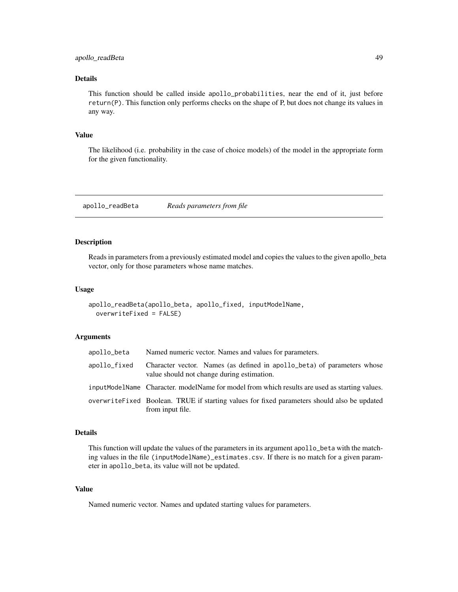## <span id="page-48-0"></span>Details

This function should be called inside apollo\_probabilities, near the end of it, just before return(P). This function only performs checks on the shape of P, but does not change its values in any way.

### Value

The likelihood (i.e. probability in the case of choice models) of the model in the appropriate form for the given functionality.

apollo\_readBeta *Reads parameters from file*

## Description

Reads in parameters from a previously estimated model and copies the values to the given apollo\_beta vector, only for those parameters whose name matches.

#### Usage

```
apollo_readBeta(apollo_beta, apollo_fixed, inputModelName,
 overwriteFixed = FALSE)
```
#### Arguments

| apollo_beta  | Named numeric vector. Names and values for parameters.                                                                |
|--------------|-----------------------------------------------------------------------------------------------------------------------|
| apollo_fixed | Character vector. Names (as defined in apollo_beta) of parameters whose<br>value should not change during estimation. |
|              | inputModelName Character. modelName for model from which results are used as starting values.                         |
|              | overwrite Fixed Boolean. TRUE if starting values for fixed parameters should also be updated<br>from input file.      |

## Details

This function will update the values of the parameters in its argument apollo\_beta with the matching values in the file (inputModelName)\_estimates.csv. If there is no match for a given parameter in apollo\_beta, its value will not be updated.

#### Value

Named numeric vector. Names and updated starting values for parameters.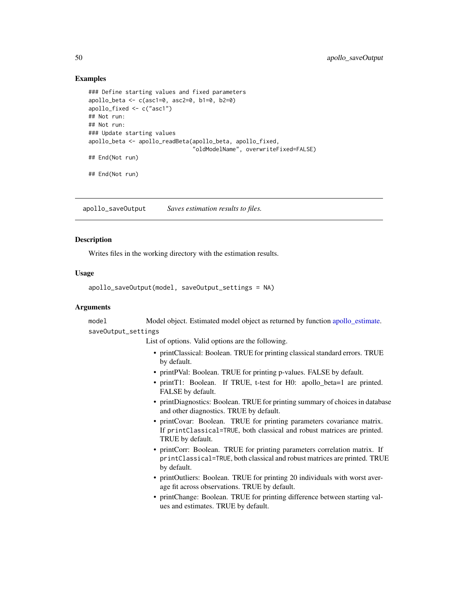## Examples

```
### Define starting values and fixed parameters
apollo_beta <- c(asc1=0, asc2=0, b1=0, b2=0)
apollo_fixed <- c("asc1")
## Not run:
## Not run:
### Update starting values
apollo_beta <- apollo_readBeta(apollo_beta, apollo_fixed,
                               "oldModelName", overwriteFixed=FALSE)
## End(Not run)
## End(Not run)
```
<span id="page-49-1"></span>apollo\_saveOutput *Saves estimation results to files.*

#### **Description**

Writes files in the working directory with the estimation results.

### Usage

```
apollo_saveOutput(model, saveOutput_settings = NA)
```
## Arguments

model Model object. Estimated model object as returned by function [apollo\\_estimate.](#page-16-1) saveOutput\_settings

List of options. Valid options are the following.

- printClassical: Boolean. TRUE for printing classical standard errors. TRUE by default.
- printPVal: Boolean. TRUE for printing p-values. FALSE by default.
- printT1: Boolean. If TRUE, t-test for H0: apollo\_beta=1 are printed. FALSE by default.
- printDiagnostics: Boolean. TRUE for printing summary of choices in database and other diagnostics. TRUE by default.
- printCovar: Boolean. TRUE for printing parameters covariance matrix. If printClassical=TRUE, both classical and robust matrices are printed. TRUE by default.
- printCorr: Boolean. TRUE for printing parameters correlation matrix. If printClassical=TRUE, both classical and robust matrices are printed. TRUE by default.
- printOutliers: Boolean. TRUE for printing 20 individuals with worst average fit across observations. TRUE by default.
- printChange: Boolean. TRUE for printing difference between starting values and estimates. TRUE by default.

<span id="page-49-0"></span>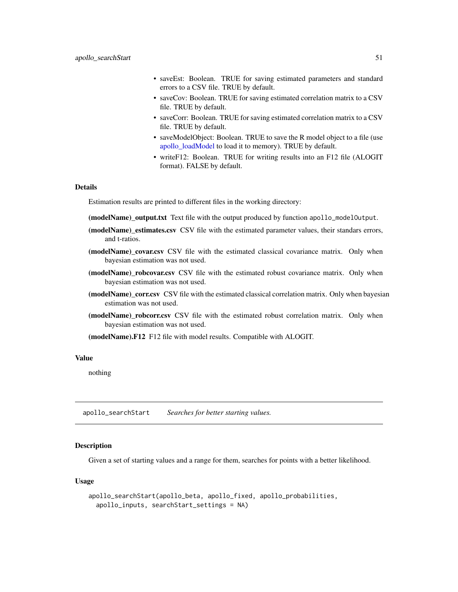- <span id="page-50-0"></span>• saveEst: Boolean. TRUE for saving estimated parameters and standard errors to a CSV file. TRUE by default.
- saveCov: Boolean. TRUE for saving estimated correlation matrix to a CSV file. TRUE by default.
- saveCorr: Boolean. TRUE for saving estimated correlation matrix to a CSV file. TRUE by default.
- saveModelObject: Boolean. TRUE to save the R model object to a file (use [apollo\\_loadModel](#page-24-1) to load it to memory). TRUE by default.
- writeF12: Boolean. TRUE for writing results into an F12 file (ALOGIT format). FALSE by default.

#### Details

Estimation results are printed to different files in the working directory:

(modelName)\_output.txt Text file with the output produced by function apollo\_modelOutput.

- (modelName)\_estimates.csv CSV file with the estimated parameter values, their standars errors, and t-ratios.
- (modelName) covar.csv CSV file with the estimated classical covariance matrix. Only when bayesian estimation was not used.
- (modelName)\_robcovar.csv CSV file with the estimated robust covariance matrix. Only when bayesian estimation was not used.
- (modelName)\_corr.csv CSV file with the estimated classical correlation matrix. Only when bayesian estimation was not used.
- (modelName)\_robcorr.csv CSV file with the estimated robust correlation matrix. Only when bayesian estimation was not used.

(modelName).F12 F12 file with model results. Compatible with ALOGIT.

#### Value

nothing

apollo\_searchStart *Searches for better starting values.*

## **Description**

Given a set of starting values and a range for them, searches for points with a better likelihood.

#### Usage

```
apollo_searchStart(apollo_beta, apollo_fixed, apollo_probabilities,
 apollo_inputs, searchStart_settings = NA)
```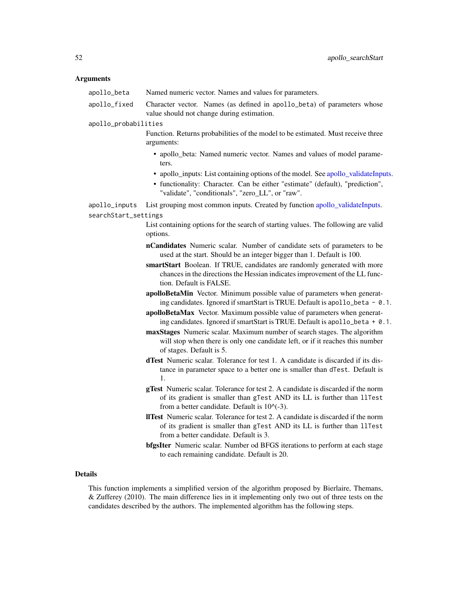#### <span id="page-51-0"></span>Arguments

| apollo_beta | Named numeric vector. Names and values for parameters. |  |  |  |
|-------------|--------------------------------------------------------|--|--|--|
|-------------|--------------------------------------------------------|--|--|--|

apollo\_fixed Character vector. Names (as defined in apollo\_beta) of parameters whose value should not change during estimation.

apollo\_probabilities

- Function. Returns probabilities of the model to be estimated. Must receive three arguments:
	- apollo beta: Named numeric vector. Names and values of model parameters.
	- apollo inputs: List containing options of the model. See apollo validateInputs.
	- functionality: Character. Can be either "estimate" (default), "prediction", "validate", "conditionals", "zero\_LL", or "raw".

apollo\_inputs List grouping most common inputs. Created by function [apollo\\_validateInputs.](#page-60-1) searchStart\_settings

- List containing options for the search of starting values. The following are valid options.
- nCandidates Numeric scalar. Number of candidate sets of parameters to be used at the start. Should be an integer bigger than 1. Default is 100.
- smartStart Boolean. If TRUE, candidates are randomly generated with more chances in the directions the Hessian indicates improvement of the LL function. Default is FALSE.
- apolloBetaMin Vector. Minimum possible value of parameters when generating candidates. Ignored if smartStart is TRUE. Default is apollo\_beta - 0.1.
- apolloBetaMax Vector. Maximum possible value of parameters when generating candidates. Ignored if smartStart is TRUE. Default is apollo\_beta + 0.1.
- maxStages Numeric scalar. Maximum number of search stages. The algorithm will stop when there is only one candidate left, or if it reaches this number of stages. Default is 5.
- dTest Numeric scalar. Tolerance for test 1. A candidate is discarded if its distance in parameter space to a better one is smaller than dTest. Default is 1.
- gTest Numeric scalar. Tolerance for test 2. A candidate is discarded if the norm of its gradient is smaller than gTest AND its LL is further than llTest from a better candidate. Default is  $10^{\lambda}(-3)$ .
- llTest Numeric scalar. Tolerance for test 2. A candidate is discarded if the norm of its gradient is smaller than gTest AND its LL is further than llTest from a better candidate. Default is 3.
- bfgsIter Numeric scalar. Number od BFGS iterations to perform at each stage to each remaining candidate. Default is 20.

## Details

This function implements a simplified version of the algorithm proposed by Bierlaire, Themans, & Zufferey (2010). The main difference lies in it implementing only two out of three tests on the candidates described by the authors. The implemented algorithm has the following steps.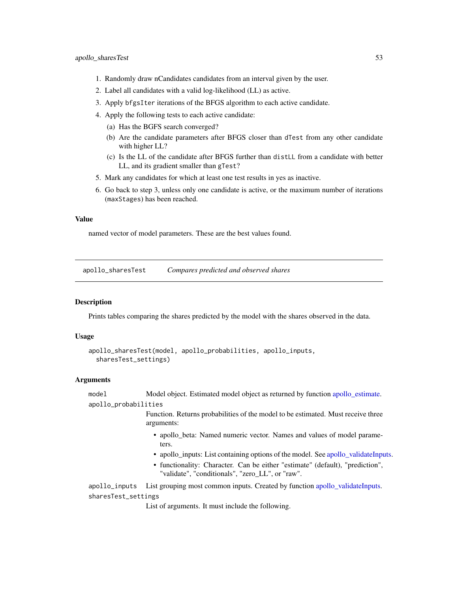- <span id="page-52-0"></span>1. Randomly draw nCandidates candidates from an interval given by the user.
- 2. Label all candidates with a valid log-likelihood (LL) as active.
- 3. Apply bfgsIter iterations of the BFGS algorithm to each active candidate.
- 4. Apply the following tests to each active candidate:
	- (a) Has the BGFS search converged?
	- (b) Are the candidate parameters after BFGS closer than dTest from any other candidate with higher LL?
	- (c) Is the LL of the candidate after BFGS further than distLL from a candidate with better LL, and its gradient smaller than gTest?
- 5. Mark any candidates for which at least one test results in yes as inactive.
- 6. Go back to step 3, unless only one candidate is active, or the maximum number of iterations (maxStages) has been reached.

#### Value

named vector of model parameters. These are the best values found.

apollo\_sharesTest *Compares predicted and observed shares*

#### **Description**

Prints tables comparing the shares predicted by the model with the shares observed in the data.

#### Usage

```
apollo_sharesTest(model, apollo_probabilities, apollo_inputs,
  sharesTest_settings)
```
#### Arguments

model Model object. Estimated model object as returned by function [apollo\\_estimate.](#page-16-1) apollo\_probabilities

> Function. Returns probabilities of the model to be estimated. Must receive three arguments:

- apollo\_beta: Named numeric vector. Names and values of model parameters.
- apollo\_inputs: List containing options of the model. See [apollo\\_validateInputs.](#page-60-1)
- functionality: Character. Can be either "estimate" (default), "prediction", "validate", "conditionals", "zero\_LL", or "raw".

apollo\_inputs List grouping most common inputs. Created by function apollo validateInputs. sharesTest\_settings

List of arguments. It must include the following.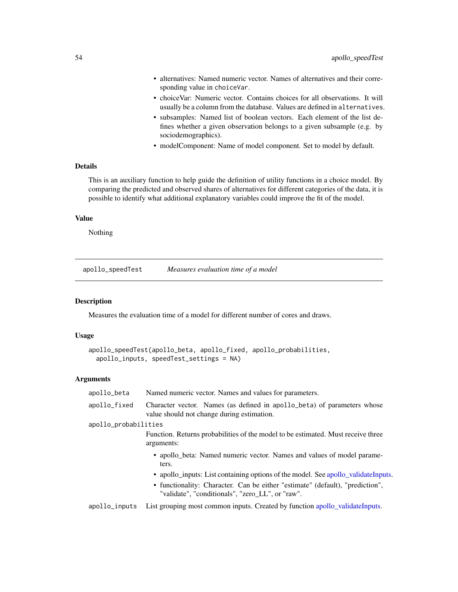- <span id="page-53-0"></span>• alternatives: Named numeric vector. Names of alternatives and their corresponding value in choiceVar.
- choiceVar: Numeric vector. Contains choices for all observations. It will usually be a column from the database. Values are defined in alternatives.
- subsamples: Named list of boolean vectors. Each element of the list defines whether a given observation belongs to a given subsample (e.g. by sociodemographics).
- modelComponent: Name of model component. Set to model by default.

## Details

This is an auxiliary function to help guide the definition of utility functions in a choice model. By comparing the predicted and observed shares of alternatives for different categories of the data, it is possible to identify what additional explanatory variables could improve the fit of the model.

## Value

Nothing

apollo\_speedTest *Measures evaluation time of a model*

## Description

Measures the evaluation time of a model for different number of cores and draws.

#### Usage

```
apollo_speedTest(apollo_beta, apollo_fixed, apollo_probabilities,
  apollo_inputs, speedTest_settings = NA)
```
#### Arguments

| apollo_beta          | Named numeric vector. Names and values for parameters.                                                                            |
|----------------------|-----------------------------------------------------------------------------------------------------------------------------------|
| apollo_fixed         | Character vector. Names (as defined in apollo_beta) of parameters whose<br>value should not change during estimation.             |
| apollo_probabilities |                                                                                                                                   |
|                      | Function. Returns probabilities of the model to be estimated. Must receive three<br>arguments:                                    |
|                      | • apollo_beta: Named numeric vector. Names and values of model parame-<br>ters.                                                   |
|                      | • apollo inputs: List containing options of the model. See apollo validate Inputs.                                                |
|                      | • functionality: Character. Can be either "estimate" (default), "prediction",<br>"validate", "conditionals", "zero_LL", or "raw". |
|                      | enal la sinuita. Let genuine most common inpute Created by function anolle, volidate Inpute                                       |

apollo\_inputs List grouping most common inputs. Created by function [apollo\\_validateInputs.](#page-60-1)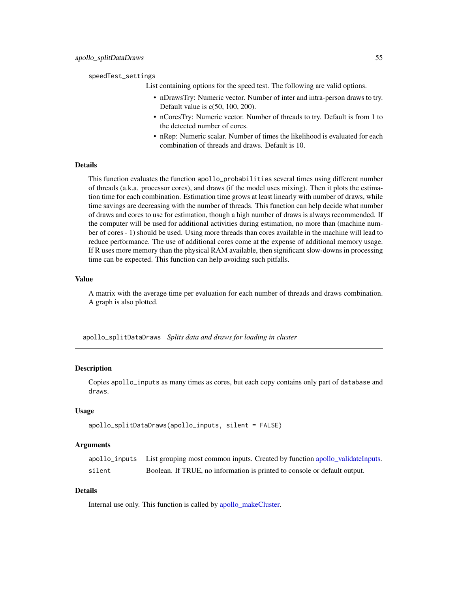#### <span id="page-54-0"></span>speedTest\_settings

List containing options for the speed test. The following are valid options.

- nDrawsTry: Numeric vector. Number of inter and intra-person draws to try. Default value is c(50, 100, 200).
- nCoresTry: Numeric vector. Number of threads to try. Default is from 1 to the detected number of cores.
- nRep: Numeric scalar. Number of times the likelihood is evaluated for each combination of threads and draws. Default is 10.

## Details

This function evaluates the function apollo\_probabilities several times using different number of threads (a.k.a. processor cores), and draws (if the model uses mixing). Then it plots the estimation time for each combination. Estimation time grows at least linearly with number of draws, while time savings are decreasing with the number of threads. This function can help decide what number of draws and cores to use for estimation, though a high number of draws is always recommended. If the computer will be used for additional activities during estimation, no more than (machine number of cores - 1) should be used. Using more threads than cores available in the machine will lead to reduce performance. The use of additional cores come at the expense of additional memory usage. If R uses more memory than the physical RAM available, then significant slow-downs in processing time can be expected. This function can help avoiding such pitfalls.

## Value

A matrix with the average time per evaluation for each number of threads and draws combination. A graph is also plotted.

apollo\_splitDataDraws *Splits data and draws for loading in cluster*

#### Description

Copies apollo\_inputs as many times as cores, but each copy contains only part of database and draws.

## Usage

```
apollo_splitDataDraws(apollo_inputs, silent = FALSE)
```
#### Arguments

|        | apollo_inputs List grouping most common inputs. Created by function apollo_validateInputs. |
|--------|--------------------------------------------------------------------------------------------|
| silent | Boolean. If TRUE, no information is printed to console or default output.                  |

## Details

Internal use only. This function is called by [apollo\\_makeCluster.](#page-25-1)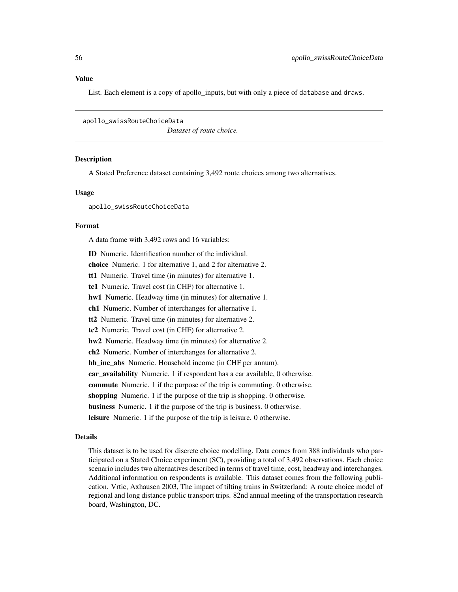#### <span id="page-55-0"></span>Value

List. Each element is a copy of apollo inputs, but with only a piece of database and draws.

apollo\_swissRouteChoiceData *Dataset of route choice.*

#### Description

A Stated Preference dataset containing 3,492 route choices among two alternatives.

#### Usage

apollo\_swissRouteChoiceData

## Format

A data frame with 3,492 rows and 16 variables:

ID Numeric. Identification number of the individual. choice Numeric. 1 for alternative 1, and 2 for alternative 2. tt1 Numeric. Travel time (in minutes) for alternative 1. tc1 Numeric. Travel cost (in CHF) for alternative 1. hw1 Numeric. Headway time (in minutes) for alternative 1. ch1 Numeric. Number of interchanges for alternative 1. tt2 Numeric. Travel time (in minutes) for alternative 2. tc2 Numeric. Travel cost (in CHF) for alternative 2. hw2 Numeric. Headway time (in minutes) for alternative 2. ch2 Numeric. Number of interchanges for alternative 2. hh\_inc\_abs Numeric. Household income (in CHF per annum). car\_availability Numeric. 1 if respondent has a car available, 0 otherwise. commute Numeric. 1 if the purpose of the trip is commuting. 0 otherwise. shopping Numeric. 1 if the purpose of the trip is shopping. 0 otherwise. business Numeric. 1 if the purpose of the trip is business. 0 otherwise. leisure Numeric. 1 if the purpose of the trip is leisure. 0 otherwise.

#### Details

This dataset is to be used for discrete choice modelling. Data comes from 388 individuals who participated on a Stated Choice experiment (SC), providing a total of 3,492 observations. Each choice scenario includes two alternatives described in terms of travel time, cost, headway and interchanges. Additional information on respondents is available. This dataset comes from the following publication. Vrtic, Axhausen 2003, The impact of tilting trains in Switzerland: A route choice model of regional and long distance public transport trips. 82nd annual meeting of the transportation research board, Washington, DC.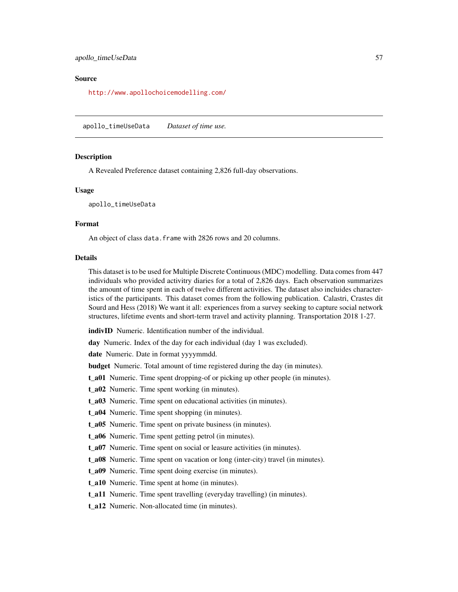#### <span id="page-56-0"></span>Source

<http://www.apollochoicemodelling.com/>

apollo\_timeUseData *Dataset of time use.*

#### **Description**

A Revealed Preference dataset containing 2,826 full-day observations.

#### Usage

apollo\_timeUseData

#### Format

An object of class data. frame with 2826 rows and 20 columns.

#### Details

This dataset is to be used for Multiple Discrete Continuous (MDC) modelling. Data comes from 447 individuals who provided activitry diaries for a total of 2,826 days. Each observation summarizes the amount of time spent in each of twelve different activities. The dataset also incluides characteristics of the participants. This dataset comes from the following publication. Calastri, Crastes dit Sourd and Hess (2018) We want it all: experiences from a survey seeking to capture social network structures, lifetime events and short-term travel and activity planning. Transportation 2018 1-27.

indivID Numeric. Identification number of the individual.

day Numeric. Index of the day for each individual (day 1 was excluded).

date Numeric. Date in format yyyymmdd.

budget Numeric. Total amount of time registered during the day (in minutes).

t\_a01 Numeric. Time spent dropping-of or picking up other people (in minutes).

t\_a02 Numeric. Time spent working (in minutes).

t\_a03 Numeric. Time spent on educational activities (in minutes).

t\_a04 Numeric. Time spent shopping (in minutes).

t a05 Numeric. Time spent on private business (in minutes).

t\_a06 Numeric. Time spent getting petrol (in minutes).

t\_a07 Numeric. Time spent on social or leasure activities (in minutes).

t\_a08 Numeric. Time spent on vacation or long (inter-city) travel (in minutes).

t\_a09 Numeric. Time spent doing exercise (in minutes).

t\_a10 Numeric. Time spent at home (in minutes).

t a11 Numeric. Time spent travelling (everyday travelling) (in minutes).

t\_a12 Numeric. Non-allocated time (in minutes).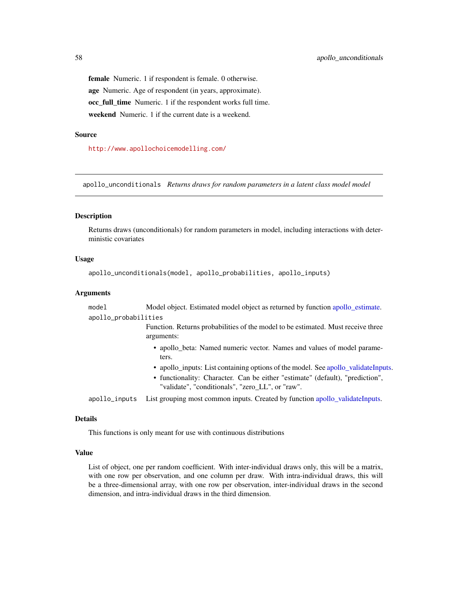female Numeric. 1 if respondent is female. 0 otherwise. age Numeric. Age of respondent (in years, approximate). occ full time Numeric. 1 if the respondent works full time. weekend Numeric. 1 if the current date is a weekend.

#### Source

<http://www.apollochoicemodelling.com/>

apollo\_unconditionals *Returns draws for random parameters in a latent class model model*

#### Description

Returns draws (unconditionals) for random parameters in model, including interactions with deterministic covariates

## Usage

```
apollo_unconditionals(model, apollo_probabilities, apollo_inputs)
```
#### Arguments

model Model object. Estimated model object as returned by function [apollo\\_estimate.](#page-16-1) apollo\_probabilities

> Function. Returns probabilities of the model to be estimated. Must receive three arguments:

- apollo\_beta: Named numeric vector. Names and values of model parameters.
- apollo\_inputs: List containing options of the model. See [apollo\\_validateInputs.](#page-60-1)
- functionality: Character. Can be either "estimate" (default), "prediction", "validate", "conditionals", "zero\_LL", or "raw".

apollo\_inputs List grouping most common inputs. Created by function [apollo\\_validateInputs.](#page-60-1)

#### Details

This functions is only meant for use with continuous distributions

## Value

List of object, one per random coefficient. With inter-individual draws only, this will be a matrix, with one row per observation, and one column per draw. With intra-individual draws, this will be a three-dimensional array, with one row per observation, inter-individual draws in the second dimension, and intra-individual draws in the third dimension.

<span id="page-57-0"></span>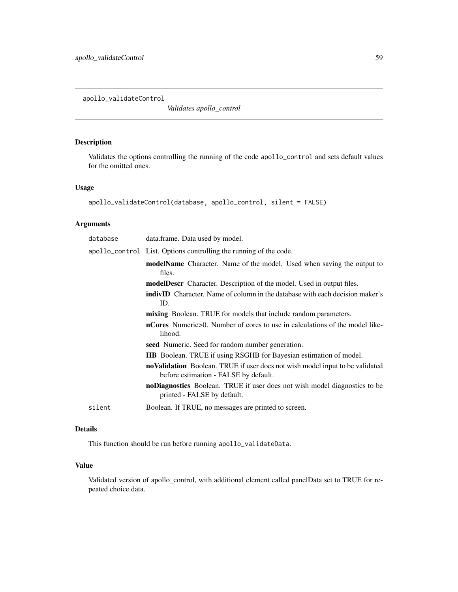<span id="page-58-0"></span>apollo\_validateControl

*Validates apollo\_control*

## Description

Validates the options controlling the running of the code apollo\_control and sets default values for the omitted ones.

#### Usage

```
apollo_validateControl(database, apollo_control, silent = FALSE)
```
## Arguments

| database | data.frame. Data used by model.                                                                                       |
|----------|-----------------------------------------------------------------------------------------------------------------------|
|          | apollo_control List. Options controlling the running of the code.                                                     |
|          | modelName Character. Name of the model. Used when saving the output to<br>files.                                      |
|          | <b>modelDescr</b> Character. Description of the model. Used in output files.                                          |
|          | <b>indivID</b> Character. Name of column in the database with each decision maker's<br>ID.                            |
|          | <b>mixing</b> Boolean. TRUE for models that include random parameters.                                                |
|          | <b>nCores</b> Numeric>0. Number of cores to use in calculations of the model like-<br>lihood.                         |
|          | seed Numeric. Seed for random number generation.                                                                      |
|          | HB Boolean. TRUE if using RSGHB for Bayesian estimation of model.                                                     |
|          | noValidation Boolean. TRUE if user does not wish model input to be validated<br>before estimation - FALSE by default. |
|          | noDiagnostics Boolean. TRUE if user does not wish model diagnostics to be<br>printed - FALSE by default.              |
| silent   | Boolean. If TRUE, no messages are printed to screen.                                                                  |

## Details

This function should be run before running apollo\_validateData.

## Value

Validated version of apollo\_control, with additional element called panelData set to TRUE for repeated choice data.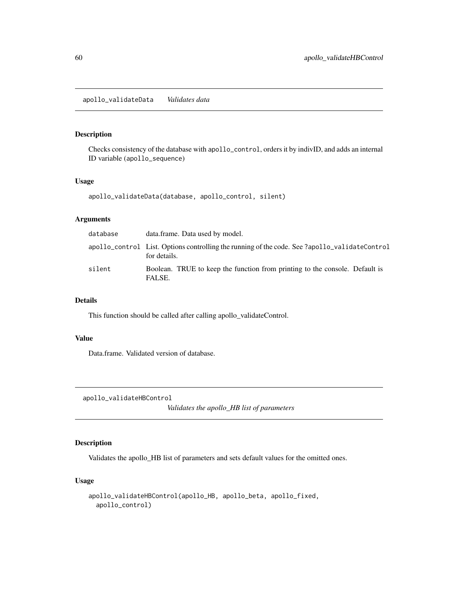<span id="page-59-1"></span><span id="page-59-0"></span>Checks consistency of the database with apollo\_control, orders it by indivID, and adds an internal ID variable (apollo\_sequence)

## Usage

apollo\_validateData(database, apollo\_control, silent)

## Arguments

| database | data.frame. Data used by model.                                                                               |
|----------|---------------------------------------------------------------------------------------------------------------|
|          | apollo_control List. Options controlling the running of the code. See ?apollo_validateControl<br>for details. |
| silent   | Boolean. TRUE to keep the function from printing to the console. Default is<br>FALSE.                         |

## Details

This function should be called after calling apollo\_validateControl.

## Value

Data.frame. Validated version of database.

apollo\_validateHBControl

*Validates the apollo\_HB list of parameters*

## Description

Validates the apollo\_HB list of parameters and sets default values for the omitted ones.

## Usage

```
apollo_validateHBControl(apollo_HB, apollo_beta, apollo_fixed,
  apollo_control)
```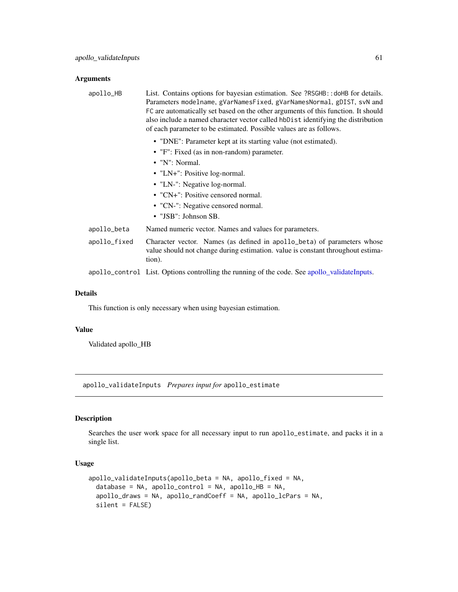## <span id="page-60-0"></span>Arguments

| apollo_HB    | List. Contains options for bayesian estimation. See ?RSGHB:: doHB for details.<br>Parameters modelname, gVarNamesFixed, gVarNamesNormal, gDIST, svN and<br>FC are automatically set based on the other arguments of this function. It should<br>also include a named character vector called hbDist identifying the distribution<br>of each parameter to be estimated. Possible values are as follows. |
|--------------|--------------------------------------------------------------------------------------------------------------------------------------------------------------------------------------------------------------------------------------------------------------------------------------------------------------------------------------------------------------------------------------------------------|
|              | • "DNE": Parameter kept at its starting value (not estimated).                                                                                                                                                                                                                                                                                                                                         |
|              | • "F": Fixed (as in non-random) parameter.                                                                                                                                                                                                                                                                                                                                                             |
|              | • "N": Normal.                                                                                                                                                                                                                                                                                                                                                                                         |
|              | • "LN+": Positive log-normal.                                                                                                                                                                                                                                                                                                                                                                          |
|              | • "LN-": Negative log-normal.                                                                                                                                                                                                                                                                                                                                                                          |
|              | • " $CN+$ ": Positive censored normal.                                                                                                                                                                                                                                                                                                                                                                 |
|              | • "CN-": Negative censored normal.                                                                                                                                                                                                                                                                                                                                                                     |
|              | • "JSB": Johnson SB.                                                                                                                                                                                                                                                                                                                                                                                   |
| apollo_beta  | Named numeric vector. Names and values for parameters.                                                                                                                                                                                                                                                                                                                                                 |
| apollo_fixed | Character vector. Names (as defined in apollo_beta) of parameters whose<br>value should not change during estimation. value is constant throughout estima-<br>tion).                                                                                                                                                                                                                                   |
|              |                                                                                                                                                                                                                                                                                                                                                                                                        |

## apollo\_control List. Options controlling the running of the code. See [apollo\\_validateInputs.](#page-60-1)

#### Details

This function is only necessary when using bayesian estimation.

## Value

Validated apollo\_HB

<span id="page-60-1"></span>apollo\_validateInputs *Prepares input for* apollo\_estimate

## Description

Searches the user work space for all necessary input to run apollo\_estimate, and packs it in a single list.

#### Usage

```
apollo_validateInputs(apollo_beta = NA, apollo_fixed = NA,
 database = NA, apollo_control = NA, apollo_HB = NA,
  apollo_draws = NA, apollo_randCoeff = NA, apollo_lcPars = NA,
  silent = FALSE)
```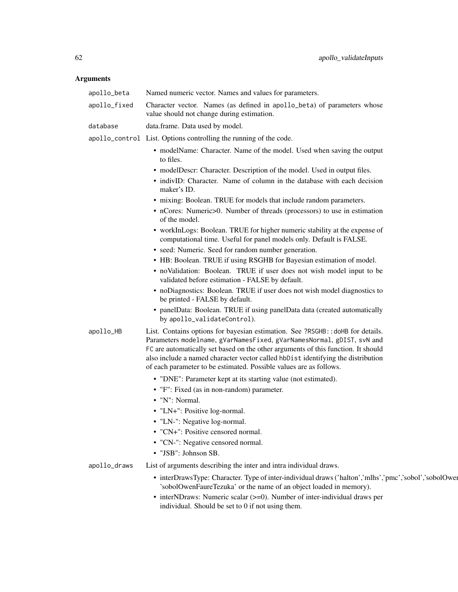## Arguments

| apollo_beta  | Named numeric vector. Names and values for parameters.                                                                                                                                                                                                                                                                                                                                                 |
|--------------|--------------------------------------------------------------------------------------------------------------------------------------------------------------------------------------------------------------------------------------------------------------------------------------------------------------------------------------------------------------------------------------------------------|
| apollo_fixed | Character vector. Names (as defined in apollo_beta) of parameters whose<br>value should not change during estimation.                                                                                                                                                                                                                                                                                  |
| database     | data.frame. Data used by model.                                                                                                                                                                                                                                                                                                                                                                        |
|              | apollo_control List. Options controlling the running of the code.                                                                                                                                                                                                                                                                                                                                      |
|              | • modelName: Character. Name of the model. Used when saving the output<br>to files.                                                                                                                                                                                                                                                                                                                    |
|              | • modelDescr: Character. Description of the model. Used in output files.                                                                                                                                                                                                                                                                                                                               |
|              | • indivID: Character. Name of column in the database with each decision<br>maker's ID.                                                                                                                                                                                                                                                                                                                 |
|              | • mixing: Boolean. TRUE for models that include random parameters.                                                                                                                                                                                                                                                                                                                                     |
|              | • nCores: Numeric>0. Number of threads (processors) to use in estimation<br>of the model.                                                                                                                                                                                                                                                                                                              |
|              | • workInLogs: Boolean. TRUE for higher numeric stability at the expense of<br>computational time. Useful for panel models only. Default is FALSE.                                                                                                                                                                                                                                                      |
|              | • seed: Numeric. Seed for random number generation.                                                                                                                                                                                                                                                                                                                                                    |
|              | • HB: Boolean. TRUE if using RSGHB for Bayesian estimation of model.                                                                                                                                                                                                                                                                                                                                   |
|              | • noValidation: Boolean. TRUE if user does not wish model input to be<br>validated before estimation - FALSE by default.                                                                                                                                                                                                                                                                               |
|              | • noDiagnostics: Boolean. TRUE if user does not wish model diagnostics to<br>be printed - FALSE by default.                                                                                                                                                                                                                                                                                            |
|              | • panelData: Boolean. TRUE if using panelData data (created automatically<br>by apollo_validateControl).                                                                                                                                                                                                                                                                                               |
| apollo_HB    | List. Contains options for bayesian estimation. See ?RSGHB:: doHB for details.<br>Parameters modelname, gVarNamesFixed, gVarNamesNormal, gDIST, svN and<br>FC are automatically set based on the other arguments of this function. It should<br>also include a named character vector called hbDist identifying the distribution<br>of each parameter to be estimated. Possible values are as follows. |
|              | • "DNE": Parameter kept at its starting value (not estimated).                                                                                                                                                                                                                                                                                                                                         |
|              | • "F": Fixed (as in non-random) parameter.                                                                                                                                                                                                                                                                                                                                                             |
|              | • "N": Normal.                                                                                                                                                                                                                                                                                                                                                                                         |
|              | • "LN+": Positive log-normal.                                                                                                                                                                                                                                                                                                                                                                          |
|              | • "LN-": Negative log-normal.                                                                                                                                                                                                                                                                                                                                                                          |
|              | • "CN+": Positive censored normal.                                                                                                                                                                                                                                                                                                                                                                     |
|              | • "CN-": Negative censored normal.                                                                                                                                                                                                                                                                                                                                                                     |
|              | • "JSB": Johnson SB.                                                                                                                                                                                                                                                                                                                                                                                   |
| apollo_draws | List of arguments describing the inter and intra individual draws.                                                                                                                                                                                                                                                                                                                                     |
|              | • interDrawsType: Character. Type of inter-individual draws ('halton','mlhs','pmc','sobol','sobolOwer<br>'sobolOwenFaureTezuka' or the name of an object loaded in memory).                                                                                                                                                                                                                            |
|              | $\bullet$ interNDraws: Numeric scalar ( $>=$ 0). Number of inter-individual draws per                                                                                                                                                                                                                                                                                                                  |

individual. Should be set to 0 if not using them.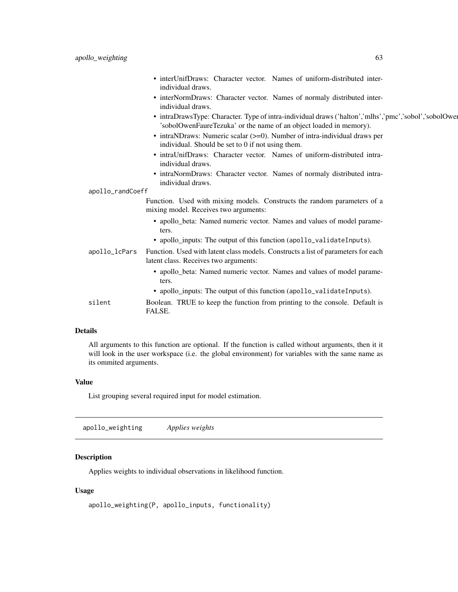<span id="page-62-0"></span>

|                  | • interUnifDraws: Character vector. Names of uniform-distributed inter-<br>individual draws.                                                                                |
|------------------|-----------------------------------------------------------------------------------------------------------------------------------------------------------------------------|
|                  | • interNormDraws: Character vector. Names of normaly distributed inter-<br>individual draws.                                                                                |
|                  | • intraDrawsType: Character. Type of intra-individual draws ('halton','mlhs','pmc','sobol','sobolOwer<br>'sobolOwenFaureTezuka' or the name of an object loaded in memory). |
|                  | $\bullet$ intraNDraws: Numeric scalar ( $>=$ 0). Number of intra-individual draws per<br>individual. Should be set to 0 if not using them.                                  |
|                  | • intraUnifDraws: Character vector. Names of uniform-distributed intra-<br>individual draws.                                                                                |
|                  | • intraNormDraws: Character vector. Names of normaly distributed intra-<br>individual draws.                                                                                |
| apollo_randCoeff |                                                                                                                                                                             |
|                  | Function. Used with mixing models. Constructs the random parameters of a<br>mixing model. Receives two arguments:                                                           |
|                  | • apollo_beta: Named numeric vector. Names and values of model parame-<br>ters.                                                                                             |
|                  | • apollo_inputs: The output of this function (apollo_validateInputs).                                                                                                       |
| apollo_lcPars    | Function. Used with latent class models. Constructs a list of parameters for each<br>latent class. Receives two arguments:                                                  |
|                  | • apollo_beta: Named numeric vector. Names and values of model parame-<br>ters.                                                                                             |
|                  | • apollo_inputs: The output of this function (apollo_validateInputs).                                                                                                       |
| silent           | Boolean. TRUE to keep the function from printing to the console. Default is<br>FALSE.                                                                                       |
|                  |                                                                                                                                                                             |

## Details

All arguments to this function are optional. If the function is called without arguments, then it it will look in the user workspace (i.e. the global environment) for variables with the same name as its ommited arguments.

## Value

List grouping several required input for model estimation.

apollo\_weighting *Applies weights*

## Description

Applies weights to individual observations in likelihood function.

## Usage

```
apollo_weighting(P, apollo_inputs, functionality)
```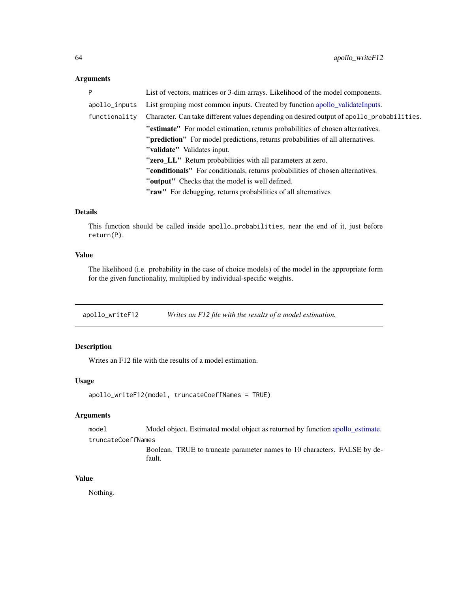#### <span id="page-63-0"></span>Arguments

| Þ             | List of vectors, matrices or 3-dim arrays. Likelihood of the model components.            |
|---------------|-------------------------------------------------------------------------------------------|
| apollo_inputs | List grouping most common inputs. Created by function apollo_validateInputs.              |
| functionality | Character. Can take different values depending on desired output of apollo_probabilities. |
|               | "estimate" For model estimation, returns probabilities of chosen alternatives.            |
|               | "prediction" For model predictions, returns probabilities of all alternatives.            |
|               | "validate" Validates input.                                                               |
|               | "zero_LL" Return probabilities with all parameters at zero.                               |
|               | <b>"conditionals"</b> For conditionals, returns probabilities of chosen alternatives.     |
|               | "output" Checks that the model is well defined.                                           |
|               | "raw" For debugging, returns probabilities of all alternatives                            |

## Details

This function should be called inside apollo\_probabilities, near the end of it, just before return(P).

## Value

The likelihood (i.e. probability in the case of choice models) of the model in the appropriate form for the given functionality, multiplied by individual-specific weights.

apollo\_writeF12 *Writes an F12 file with the results of a model estimation.*

## Description

Writes an F12 file with the results of a model estimation.

## Usage

```
apollo_writeF12(model, truncateCoeffNames = TRUE)
```
## Arguments

model Model object. Estimated model object as returned by function [apollo\\_estimate.](#page-16-1)

truncateCoeffNames

Boolean. TRUE to truncate parameter names to 10 characters. FALSE by default.

## Value

Nothing.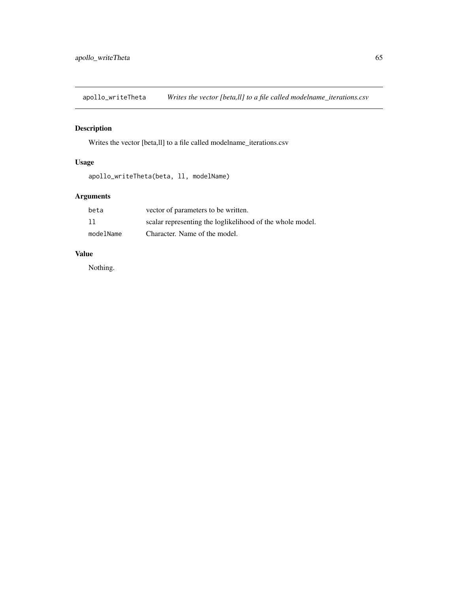<span id="page-64-0"></span>apollo\_writeTheta *Writes the vector [beta,ll] to a file called modelname\_iterations.csv*

## Description

Writes the vector [beta,ll] to a file called modelname\_iterations.csv

## Usage

```
apollo_writeTheta(beta, ll, modelName)
```
## Arguments

| beta      | vector of parameters to be written.                       |
|-----------|-----------------------------------------------------------|
| 11        | scalar representing the loglikelihood of the whole model. |
| modelName | Character. Name of the model.                             |

## Value

Nothing.